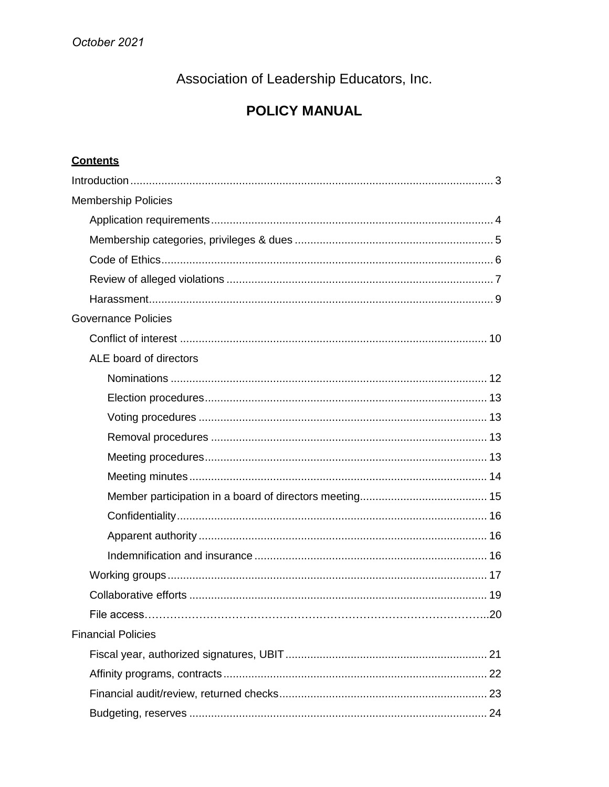Association of Leadership Educators, Inc.

# **POLICY MANUAL**

# **Contents**

| <b>Membership Policies</b> |
|----------------------------|
|                            |
|                            |
|                            |
|                            |
|                            |
| <b>Governance Policies</b> |
|                            |
| ALE board of directors     |
|                            |
|                            |
|                            |
|                            |
|                            |
|                            |
|                            |
|                            |
|                            |
|                            |
|                            |
|                            |
| .20                        |
| <b>Financial Policies</b>  |
|                            |
|                            |
|                            |
|                            |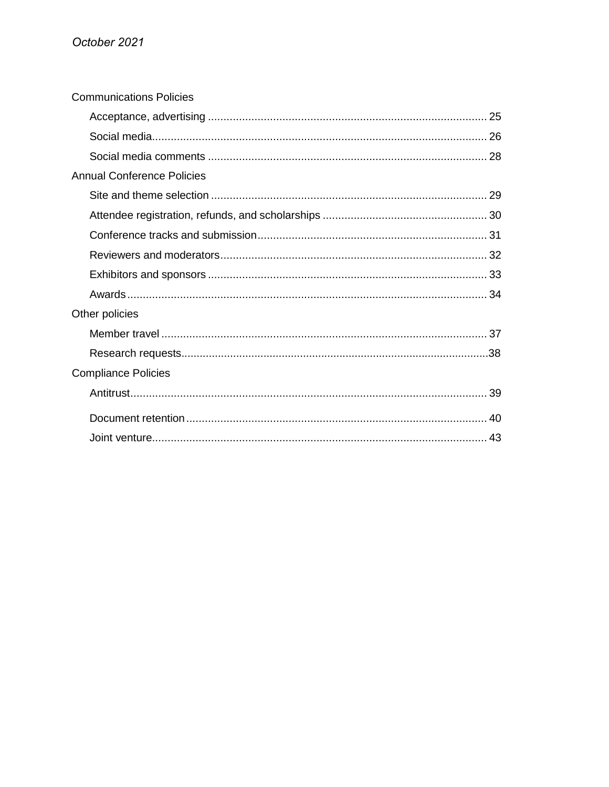| <b>Communications Policies</b> |
|--------------------------------|
|                                |
|                                |
|                                |
| Annual Conference Policies     |
|                                |
|                                |
|                                |
|                                |
|                                |
|                                |
| Other policies                 |
|                                |
|                                |
| <b>Compliance Policies</b>     |
|                                |
|                                |
|                                |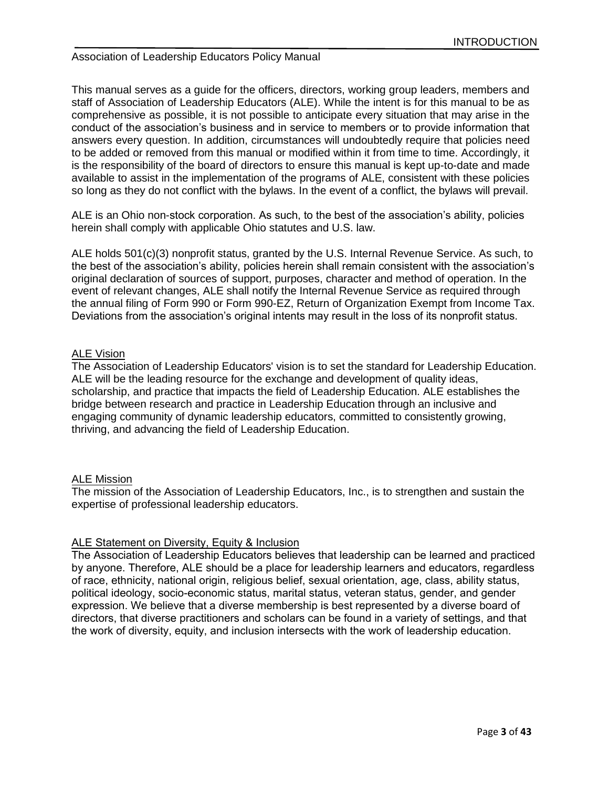# Association of Leadership Educators Policy Manual

This manual serves as a guide for the officers, directors, working group leaders, members and staff of Association of Leadership Educators (ALE). While the intent is for this manual to be as comprehensive as possible, it is not possible to anticipate every situation that may arise in the conduct of the association's business and in service to members or to provide information that answers every question. In addition, circumstances will undoubtedly require that policies need to be added or removed from this manual or modified within it from time to time. Accordingly, it is the responsibility of the board of directors to ensure this manual is kept up-to-date and made available to assist in the implementation of the programs of ALE, consistent with these policies so long as they do not conflict with the bylaws. In the event of a conflict, the bylaws will prevail.

ALE is an Ohio non-stock corporation. As such, to the best of the association's ability, policies herein shall comply with applicable Ohio statutes and U.S. law.

ALE holds 501(c)(3) nonprofit status, granted by the U.S. Internal Revenue Service. As such, to the best of the association's ability, policies herein shall remain consistent with the association's original declaration of sources of support, purposes, character and method of operation. In the event of relevant changes, ALE shall notify the Internal Revenue Service as required through the annual filing of Form 990 or Form 990-EZ, Return of Organization Exempt from Income Tax. Deviations from the association's original intents may result in the loss of its nonprofit status.

## ALE Vision

The Association of Leadership Educators' vision is to set the standard for Leadership Education. ALE will be the leading resource for the exchange and development of quality ideas, scholarship, and practice that impacts the field of Leadership Education. ALE establishes the bridge between research and practice in Leadership Education through an inclusive and engaging community of dynamic leadership educators, committed to consistently growing, thriving, and advancing the field of Leadership Education.

#### ALE Mission

The mission of the Association of Leadership Educators, Inc., is to strengthen and sustain the expertise of professional leadership educators.

#### ALE Statement on Diversity, Equity & Inclusion

The Association of Leadership Educators believes that leadership can be learned and practiced by anyone. Therefore, ALE should be a place for leadership learners and educators, regardless of race, ethnicity, national origin, religious belief, sexual orientation, age, class, ability status, political ideology, socio-economic status, marital status, veteran status, gender, and gender expression. We believe that a diverse membership is best represented by a diverse board of directors, that diverse practitioners and scholars can be found in a variety of settings, and that the work of diversity, equity, and inclusion intersects with the work of leadership education.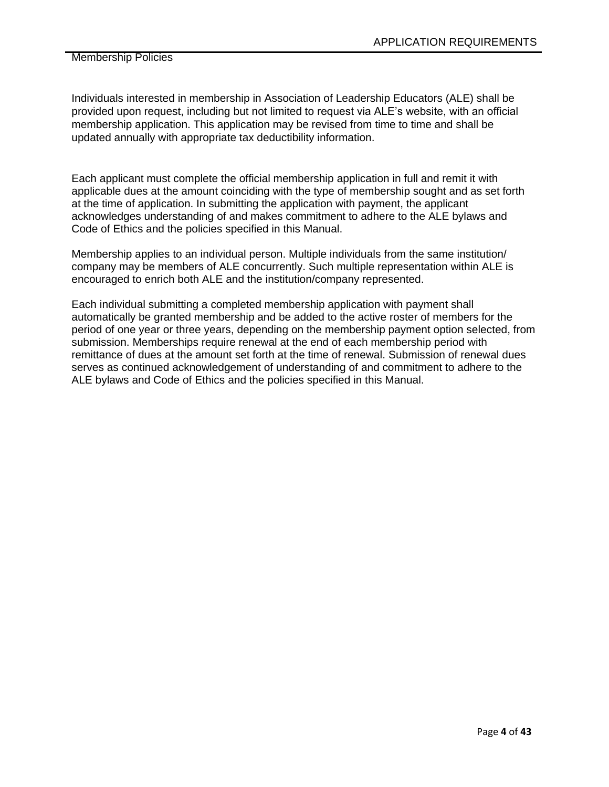Individuals interested in membership in Association of Leadership Educators (ALE) shall be provided upon request, including but not limited to request via ALE's website, with an official membership application. This application may be revised from time to time and shall be updated annually with appropriate tax deductibility information.

Each applicant must complete the official membership application in full and remit it with applicable dues at the amount coinciding with the type of membership sought and as set forth at the time of application. In submitting the application with payment, the applicant acknowledges understanding of and makes commitment to adhere to the ALE bylaws and Code of Ethics and the policies specified in this Manual.

Membership applies to an individual person. Multiple individuals from the same institution/ company may be members of ALE concurrently. Such multiple representation within ALE is encouraged to enrich both ALE and the institution/company represented.

Each individual submitting a completed membership application with payment shall automatically be granted membership and be added to the active roster of members for the period of one year or three years, depending on the membership payment option selected, from submission. Memberships require renewal at the end of each membership period with remittance of dues at the amount set forth at the time of renewal. Submission of renewal dues serves as continued acknowledgement of understanding of and commitment to adhere to the ALE bylaws and Code of Ethics and the policies specified in this Manual.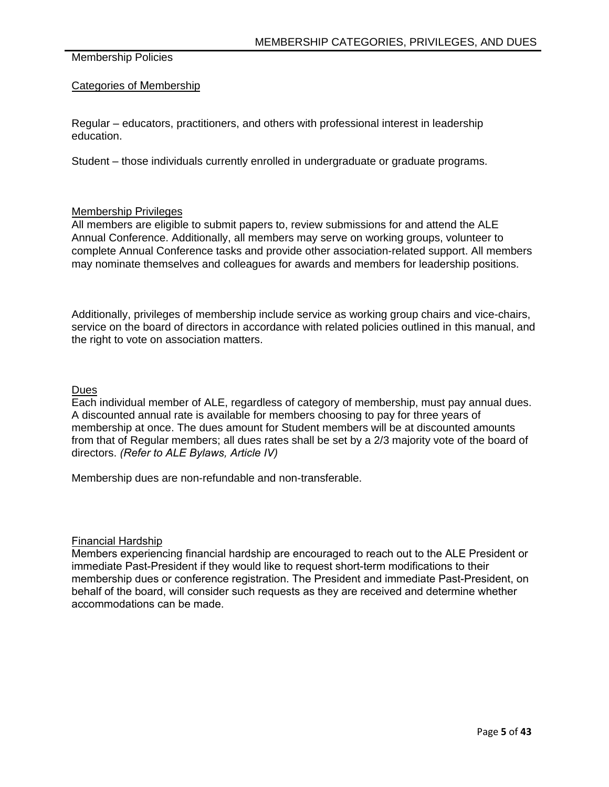# Categories of Membership

Regular – educators, practitioners, and others with professional interest in leadership education.

Student – those individuals currently enrolled in undergraduate or graduate programs.

## Membership Privileges

All members are eligible to submit papers to, review submissions for and attend the ALE Annual Conference. Additionally, all members may serve on working groups, volunteer to complete Annual Conference tasks and provide other association-related support. All members may nominate themselves and colleagues for awards and members for leadership positions.

Additionally, privileges of membership include service as working group chairs and vice-chairs, service on the board of directors in accordance with related policies outlined in this manual, and the right to vote on association matters.

## **Dues**

Each individual member of ALE, regardless of category of membership, must pay annual dues. A discounted annual rate is available for members choosing to pay for three years of membership at once. The dues amount for Student members will be at discounted amounts from that of Regular members; all dues rates shall be set by a 2/3 majority vote of the board of directors. *(Refer to ALE Bylaws, Article IV)*

Membership dues are non-refundable and non-transferable.

# Financial Hardship

Members experiencing financial hardship are encouraged to reach out to the ALE President or immediate Past-President if they would like to request short-term modifications to their membership dues or conference registration. The President and immediate Past-President, on behalf of the board, will consider such requests as they are received and determine whether accommodations can be made.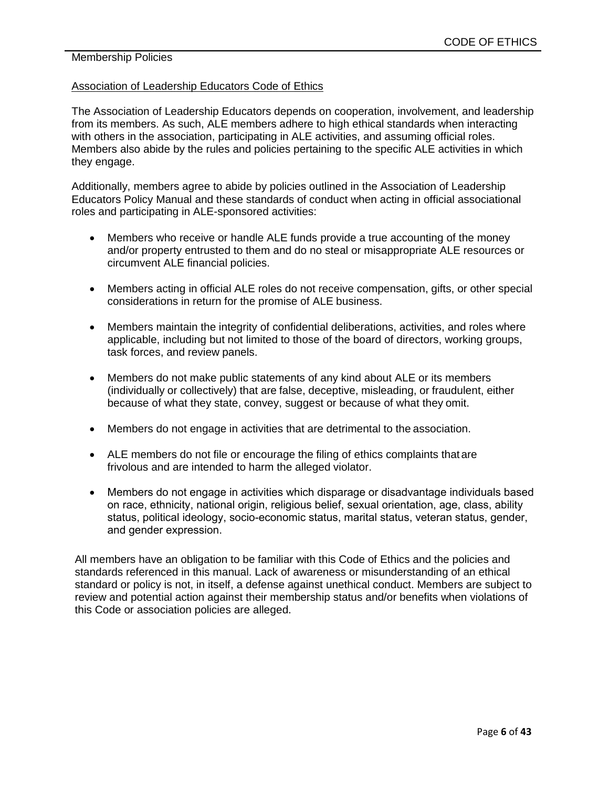## Association of Leadership Educators Code of Ethics

The Association of Leadership Educators depends on cooperation, involvement, and leadership from its members. As such, ALE members adhere to high ethical standards when interacting with others in the association, participating in ALE activities, and assuming official roles. Members also abide by the rules and policies pertaining to the specific ALE activities in which they engage.

Additionally, members agree to abide by policies outlined in the Association of Leadership Educators Policy Manual and these standards of conduct when acting in official associational roles and participating in ALE-sponsored activities:

- Members who receive or handle ALE funds provide a true accounting of the money and/or property entrusted to them and do no steal or misappropriate ALE resources or circumvent ALE financial policies.
- Members acting in official ALE roles do not receive compensation, gifts, or other special considerations in return for the promise of ALE business.
- Members maintain the integrity of confidential deliberations, activities, and roles where applicable, including but not limited to those of the board of directors, working groups, task forces, and review panels.
- Members do not make public statements of any kind about ALE or its members (individually or collectively) that are false, deceptive, misleading, or fraudulent, either because of what they state, convey, suggest or because of what they omit.
- Members do not engage in activities that are detrimental to the association.
- ALE members do not file or encourage the filing of ethics complaints that are frivolous and are intended to harm the alleged violator.
- Members do not engage in activities which disparage or disadvantage individuals based on race, ethnicity, national origin, religious belief, sexual orientation, age, class, ability status, political ideology, socio-economic status, marital status, veteran status, gender, and gender expression.

All members have an obligation to be familiar with this Code of Ethics and the policies and standards referenced in this manual. Lack of awareness or misunderstanding of an ethical standard or policy is not, in itself, a defense against unethical conduct. Members are subject to review and potential action against their membership status and/or benefits when violations of this Code or association policies are alleged.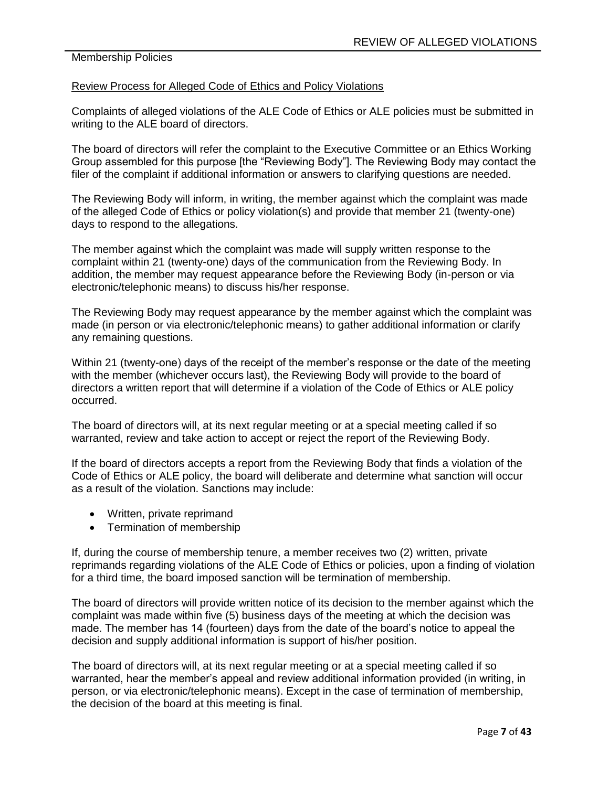#### Review Process for Alleged Code of Ethics and Policy Violations

Complaints of alleged violations of the ALE Code of Ethics or ALE policies must be submitted in writing to the ALE board of directors.

The board of directors will refer the complaint to the Executive Committee or an Ethics Working Group assembled for this purpose [the "Reviewing Body"]. The Reviewing Body may contact the filer of the complaint if additional information or answers to clarifying questions are needed.

The Reviewing Body will inform, in writing, the member against which the complaint was made of the alleged Code of Ethics or policy violation(s) and provide that member 21 (twenty-one) days to respond to the allegations.

The member against which the complaint was made will supply written response to the complaint within 21 (twenty-one) days of the communication from the Reviewing Body. In addition, the member may request appearance before the Reviewing Body (in-person or via electronic/telephonic means) to discuss his/her response.

The Reviewing Body may request appearance by the member against which the complaint was made (in person or via electronic/telephonic means) to gather additional information or clarify any remaining questions.

Within 21 (twenty-one) days of the receipt of the member's response or the date of the meeting with the member (whichever occurs last), the Reviewing Body will provide to the board of directors a written report that will determine if a violation of the Code of Ethics or ALE policy occurred.

The board of directors will, at its next regular meeting or at a special meeting called if so warranted, review and take action to accept or reject the report of the Reviewing Body.

If the board of directors accepts a report from the Reviewing Body that finds a violation of the Code of Ethics or ALE policy, the board will deliberate and determine what sanction will occur as a result of the violation. Sanctions may include:

- Written, private reprimand
- Termination of membership

If, during the course of membership tenure, a member receives two (2) written, private reprimands regarding violations of the ALE Code of Ethics or policies, upon a finding of violation for a third time, the board imposed sanction will be termination of membership.

The board of directors will provide written notice of its decision to the member against which the complaint was made within five (5) business days of the meeting at which the decision was made. The member has 14 (fourteen) days from the date of the board's notice to appeal the decision and supply additional information is support of his/her position.

The board of directors will, at its next regular meeting or at a special meeting called if so warranted, hear the member's appeal and review additional information provided (in writing, in person, or via electronic/telephonic means). Except in the case of termination of membership, the decision of the board at this meeting is final.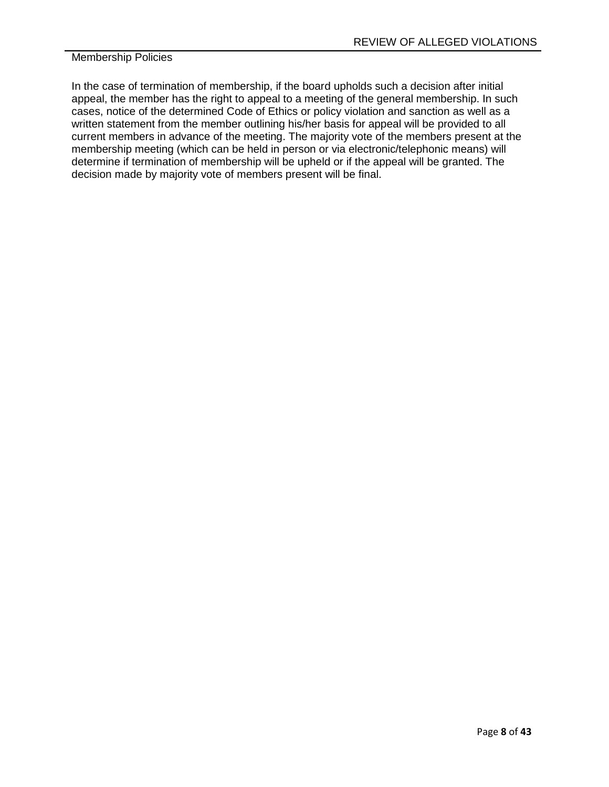In the case of termination of membership, if the board upholds such a decision after initial appeal, the member has the right to appeal to a meeting of the general membership. In such cases, notice of the determined Code of Ethics or policy violation and sanction as well as a written statement from the member outlining his/her basis for appeal will be provided to all current members in advance of the meeting. The majority vote of the members present at the membership meeting (which can be held in person or via electronic/telephonic means) will determine if termination of membership will be upheld or if the appeal will be granted. The decision made by majority vote of members present will be final.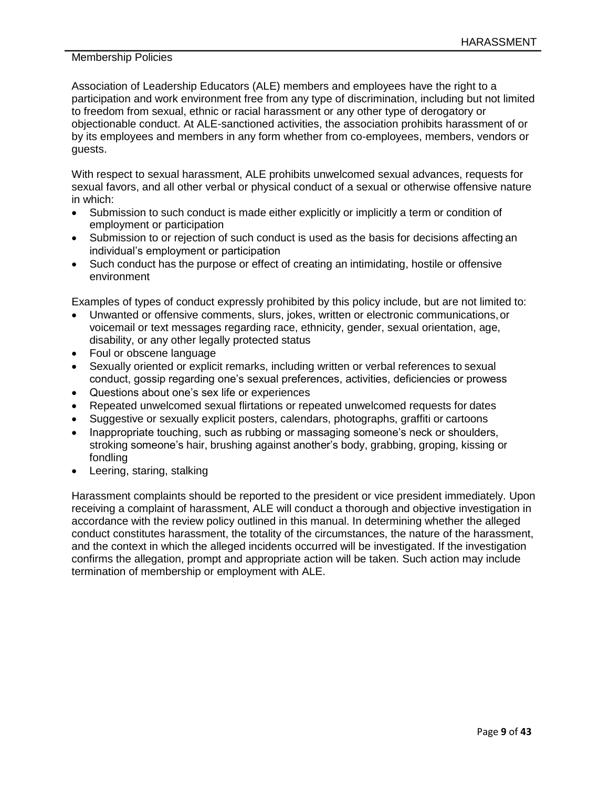Association of Leadership Educators (ALE) members and employees have the right to a participation and work environment free from any type of discrimination, including but not limited to freedom from sexual, ethnic or racial harassment or any other type of derogatory or objectionable conduct. At ALE-sanctioned activities, the association prohibits harassment of or by its employees and members in any form whether from co-employees, members, vendors or guests.

With respect to sexual harassment, ALE prohibits unwelcomed sexual advances, requests for sexual favors, and all other verbal or physical conduct of a sexual or otherwise offensive nature in which:

- Submission to such conduct is made either explicitly or implicitly a term or condition of employment or participation
- Submission to or rejection of such conduct is used as the basis for decisions affecting an individual's employment or participation
- Such conduct has the purpose or effect of creating an intimidating, hostile or offensive environment

Examples of types of conduct expressly prohibited by this policy include, but are not limited to:

- Unwanted or offensive comments, slurs, jokes, written or electronic communications, or voicemail or text messages regarding race, ethnicity, gender, sexual orientation, age, disability, or any other legally protected status
- Foul or obscene language
- Sexually oriented or explicit remarks, including written or verbal references to sexual conduct, gossip regarding one's sexual preferences, activities, deficiencies or prowess
- Questions about one's sex life or experiences
- Repeated unwelcomed sexual flirtations or repeated unwelcomed requests for dates
- Suggestive or sexually explicit posters, calendars, photographs, graffiti or cartoons
- Inappropriate touching, such as rubbing or massaging someone's neck or shoulders, stroking someone's hair, brushing against another's body, grabbing, groping, kissing or fondling
- Leering, staring, stalking

Harassment complaints should be reported to the president or vice president immediately. Upon receiving a complaint of harassment, ALE will conduct a thorough and objective investigation in accordance with the review policy outlined in this manual. In determining whether the alleged conduct constitutes harassment, the totality of the circumstances, the nature of the harassment, and the context in which the alleged incidents occurred will be investigated. If the investigation confirms the allegation, prompt and appropriate action will be taken. Such action may include termination of membership or employment with ALE.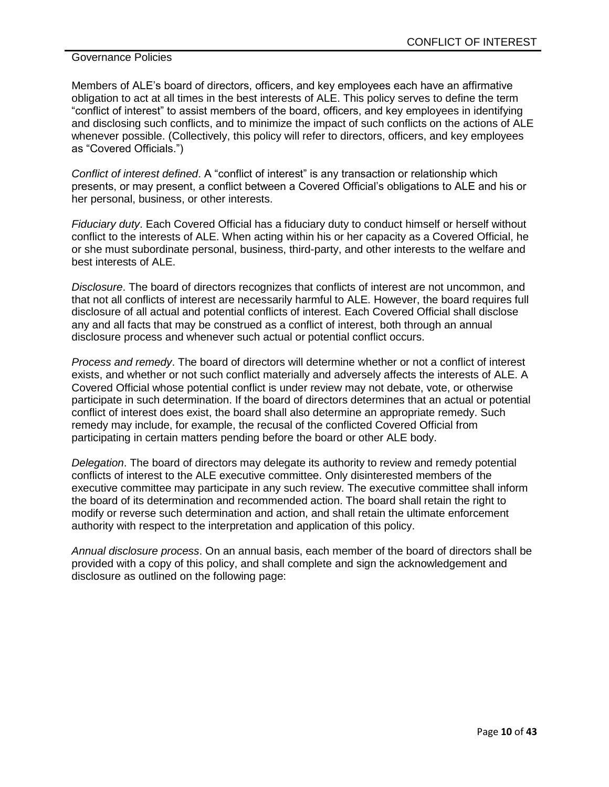Members of ALE's board of directors, officers, and key employees each have an affirmative obligation to act at all times in the best interests of ALE. This policy serves to define the term "conflict of interest" to assist members of the board, officers, and key employees in identifying and disclosing such conflicts, and to minimize the impact of such conflicts on the actions of ALE whenever possible. (Collectively, this policy will refer to directors, officers, and key employees as "Covered Officials.")

*Conflict of interest defined*. A "conflict of interest" is any transaction or relationship which presents, or may present, a conflict between a Covered Official's obligations to ALE and his or her personal, business, or other interests.

*Fiduciary duty*. Each Covered Official has a fiduciary duty to conduct himself or herself without conflict to the interests of ALE. When acting within his or her capacity as a Covered Official, he or she must subordinate personal, business, third-party, and other interests to the welfare and best interests of ALE.

*Disclosure*. The board of directors recognizes that conflicts of interest are not uncommon, and that not all conflicts of interest are necessarily harmful to ALE. However, the board requires full disclosure of all actual and potential conflicts of interest. Each Covered Official shall disclose any and all facts that may be construed as a conflict of interest, both through an annual disclosure process and whenever such actual or potential conflict occurs.

*Process and remedy*. The board of directors will determine whether or not a conflict of interest exists, and whether or not such conflict materially and adversely affects the interests of ALE. A Covered Official whose potential conflict is under review may not debate, vote, or otherwise participate in such determination. If the board of directors determines that an actual or potential conflict of interest does exist, the board shall also determine an appropriate remedy. Such remedy may include, for example, the recusal of the conflicted Covered Official from participating in certain matters pending before the board or other ALE body.

*Delegation*. The board of directors may delegate its authority to review and remedy potential conflicts of interest to the ALE executive committee. Only disinterested members of the executive committee may participate in any such review. The executive committee shall inform the board of its determination and recommended action. The board shall retain the right to modify or reverse such determination and action, and shall retain the ultimate enforcement authority with respect to the interpretation and application of this policy.

*Annual disclosure process*. On an annual basis, each member of the board of directors shall be provided with a copy of this policy, and shall complete and sign the acknowledgement and disclosure as outlined on the following page: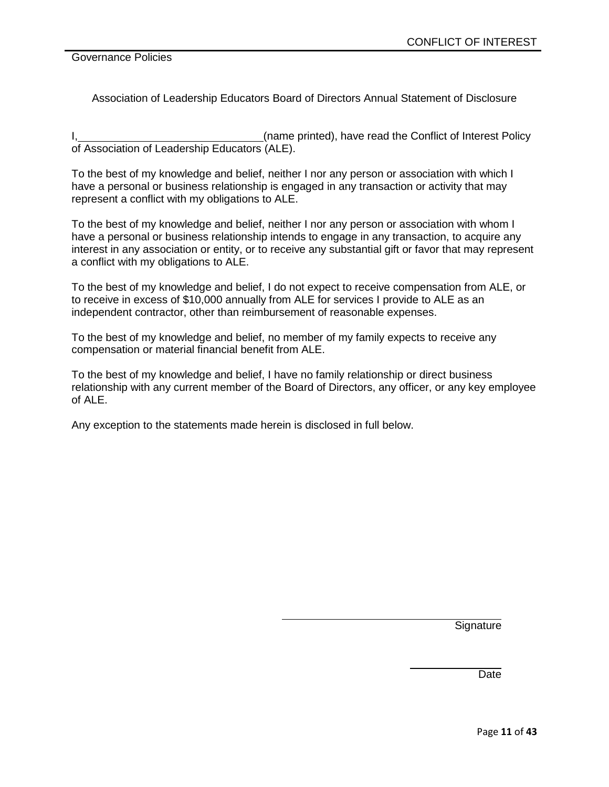Association of Leadership Educators Board of Directors Annual Statement of Disclosure

I, 1. All 2003 (name printed), have read the Conflict of Interest Policy of Association of Leadership Educators (ALE).

To the best of my knowledge and belief, neither I nor any person or association with which I have a personal or business relationship is engaged in any transaction or activity that may represent a conflict with my obligations to ALE.

To the best of my knowledge and belief, neither I nor any person or association with whom I have a personal or business relationship intends to engage in any transaction, to acquire any interest in any association or entity, or to receive any substantial gift or favor that may represent a conflict with my obligations to ALE.

To the best of my knowledge and belief, I do not expect to receive compensation from ALE, or to receive in excess of \$10,000 annually from ALE for services I provide to ALE as an independent contractor, other than reimbursement of reasonable expenses.

To the best of my knowledge and belief, no member of my family expects to receive any compensation or material financial benefit from ALE.

To the best of my knowledge and belief, I have no family relationship or direct business relationship with any current member of the Board of Directors, any officer, or any key employee of ALE.

Any exception to the statements made herein is disclosed in full below.

**Signature** 

**Date**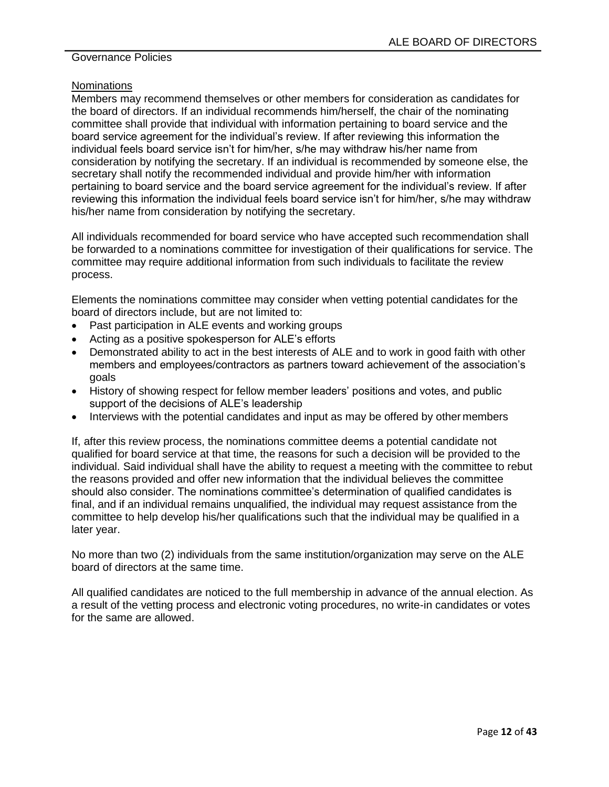#### **Nominations**

Members may recommend themselves or other members for consideration as candidates for the board of directors. If an individual recommends him/herself, the chair of the nominating committee shall provide that individual with information pertaining to board service and the board service agreement for the individual's review. If after reviewing this information the individual feels board service isn't for him/her, s/he may withdraw his/her name from consideration by notifying the secretary. If an individual is recommended by someone else, the secretary shall notify the recommended individual and provide him/her with information pertaining to board service and the board service agreement for the individual's review. If after reviewing this information the individual feels board service isn't for him/her, s/he may withdraw his/her name from consideration by notifying the secretary.

All individuals recommended for board service who have accepted such recommendation shall be forwarded to a nominations committee for investigation of their qualifications for service. The committee may require additional information from such individuals to facilitate the review process.

Elements the nominations committee may consider when vetting potential candidates for the board of directors include, but are not limited to:

- Past participation in ALE events and working groups
- Acting as a positive spokesperson for ALE's efforts
- Demonstrated ability to act in the best interests of ALE and to work in good faith with other members and employees/contractors as partners toward achievement of the association's goals
- History of showing respect for fellow member leaders' positions and votes, and public support of the decisions of ALE's leadership
- Interviews with the potential candidates and input as may be offered by other members

If, after this review process, the nominations committee deems a potential candidate not qualified for board service at that time, the reasons for such a decision will be provided to the individual. Said individual shall have the ability to request a meeting with the committee to rebut the reasons provided and offer new information that the individual believes the committee should also consider. The nominations committee's determination of qualified candidates is final, and if an individual remains unqualified, the individual may request assistance from the committee to help develop his/her qualifications such that the individual may be qualified in a later year.

No more than two (2) individuals from the same institution/organization may serve on the ALE board of directors at the same time.

All qualified candidates are noticed to the full membership in advance of the annual election. As a result of the vetting process and electronic voting procedures, no write-in candidates or votes for the same are allowed.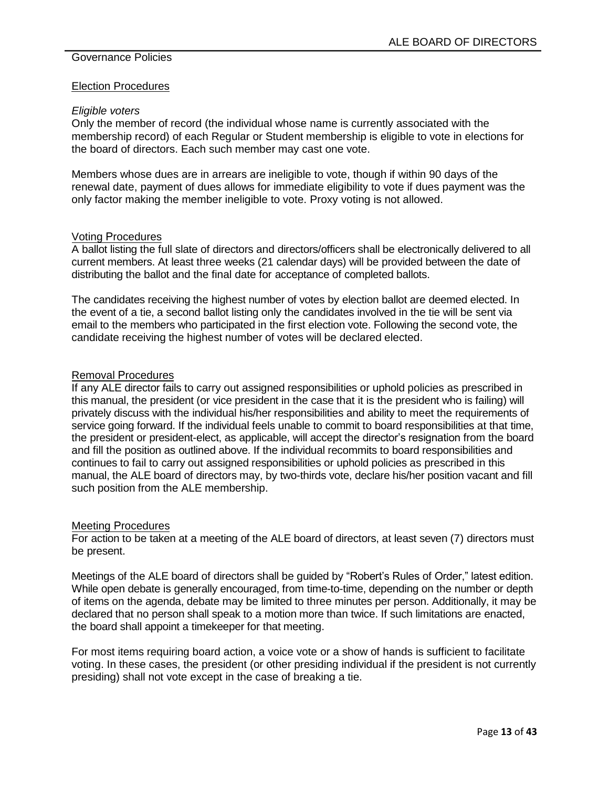#### Election Procedures

#### *Eligible voters*

Only the member of record (the individual whose name is currently associated with the membership record) of each Regular or Student membership is eligible to vote in elections for the board of directors. Each such member may cast one vote.

Members whose dues are in arrears are ineligible to vote, though if within 90 days of the renewal date, payment of dues allows for immediate eligibility to vote if dues payment was the only factor making the member ineligible to vote. Proxy voting is not allowed.

#### Voting Procedures

A ballot listing the full slate of directors and directors/officers shall be electronically delivered to all current members. At least three weeks (21 calendar days) will be provided between the date of distributing the ballot and the final date for acceptance of completed ballots.

The candidates receiving the highest number of votes by election ballot are deemed elected. In the event of a tie, a second ballot listing only the candidates involved in the tie will be sent via email to the members who participated in the first election vote. Following the second vote, the candidate receiving the highest number of votes will be declared elected.

#### Removal Procedures

If any ALE director fails to carry out assigned responsibilities or uphold policies as prescribed in this manual, the president (or vice president in the case that it is the president who is failing) will privately discuss with the individual his/her responsibilities and ability to meet the requirements of service going forward. If the individual feels unable to commit to board responsibilities at that time, the president or president-elect, as applicable, will accept the director's resignation from the board and fill the position as outlined above. If the individual recommits to board responsibilities and continues to fail to carry out assigned responsibilities or uphold policies as prescribed in this manual, the ALE board of directors may, by two-thirds vote, declare his/her position vacant and fill such position from the ALE membership.

#### Meeting Procedures

For action to be taken at a meeting of the ALE board of directors, at least seven (7) directors must be present.

Meetings of the ALE board of directors shall be guided by "Robert's Rules of Order," latest edition. While open debate is generally encouraged, from time-to-time, depending on the number or depth of items on the agenda, debate may be limited to three minutes per person. Additionally, it may be declared that no person shall speak to a motion more than twice. If such limitations are enacted, the board shall appoint a timekeeper for that meeting.

For most items requiring board action, a voice vote or a show of hands is sufficient to facilitate voting. In these cases, the president (or other presiding individual if the president is not currently presiding) shall not vote except in the case of breaking a tie.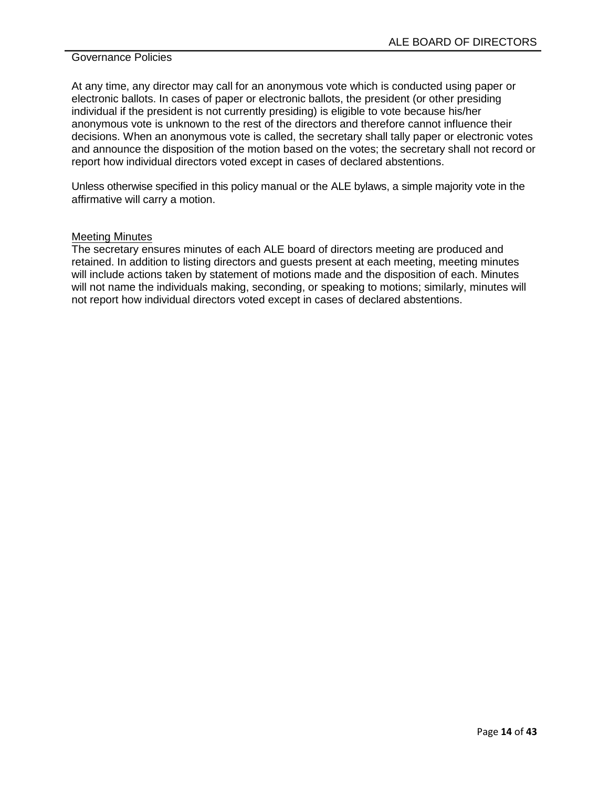At any time, any director may call for an anonymous vote which is conducted using paper or electronic ballots. In cases of paper or electronic ballots, the president (or other presiding individual if the president is not currently presiding) is eligible to vote because his/her anonymous vote is unknown to the rest of the directors and therefore cannot influence their decisions. When an anonymous vote is called, the secretary shall tally paper or electronic votes and announce the disposition of the motion based on the votes; the secretary shall not record or report how individual directors voted except in cases of declared abstentions.

Unless otherwise specified in this policy manual or the ALE bylaws, a simple majority vote in the affirmative will carry a motion.

#### Meeting Minutes

The secretary ensures minutes of each ALE board of directors meeting are produced and retained. In addition to listing directors and guests present at each meeting, meeting minutes will include actions taken by statement of motions made and the disposition of each. Minutes will not name the individuals making, seconding, or speaking to motions; similarly, minutes will not report how individual directors voted except in cases of declared abstentions.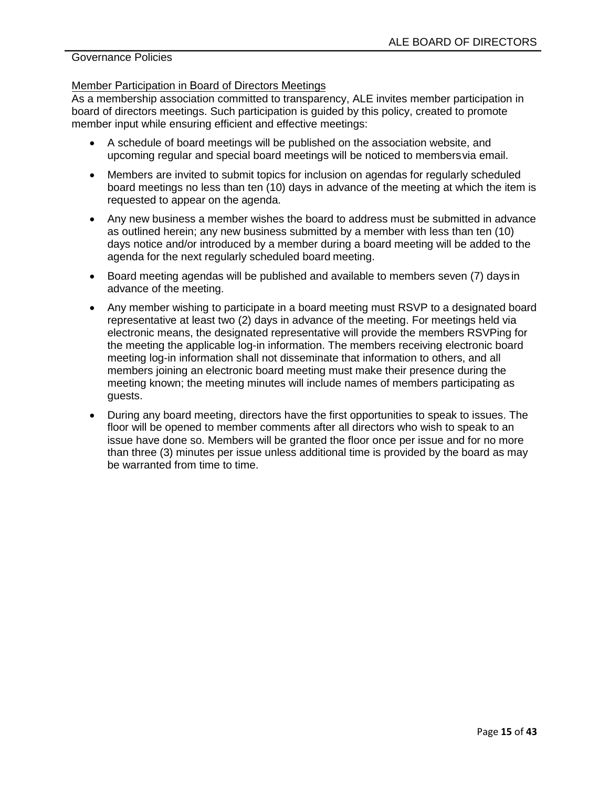#### Member Participation in Board of Directors Meetings

As a membership association committed to transparency, ALE invites member participation in board of directors meetings. Such participation is guided by this policy, created to promote member input while ensuring efficient and effective meetings:

- A schedule of board meetings will be published on the association website, and upcoming regular and special board meetings will be noticed to members via email.
- Members are invited to submit topics for inclusion on agendas for regularly scheduled board meetings no less than ten (10) days in advance of the meeting at which the item is requested to appear on the agenda.
- Any new business a member wishes the board to address must be submitted in advance as outlined herein; any new business submitted by a member with less than ten (10) days notice and/or introduced by a member during a board meeting will be added to the agenda for the next regularly scheduled board meeting.
- Board meeting agendas will be published and available to members seven (7) days in advance of the meeting.
- Any member wishing to participate in a board meeting must RSVP to a designated board representative at least two (2) days in advance of the meeting. For meetings held via electronic means, the designated representative will provide the members RSVPing for the meeting the applicable log-in information. The members receiving electronic board meeting log-in information shall not disseminate that information to others, and all members joining an electronic board meeting must make their presence during the meeting known; the meeting minutes will include names of members participating as guests.
- During any board meeting, directors have the first opportunities to speak to issues. The floor will be opened to member comments after all directors who wish to speak to an issue have done so. Members will be granted the floor once per issue and for no more than three (3) minutes per issue unless additional time is provided by the board as may be warranted from time to time.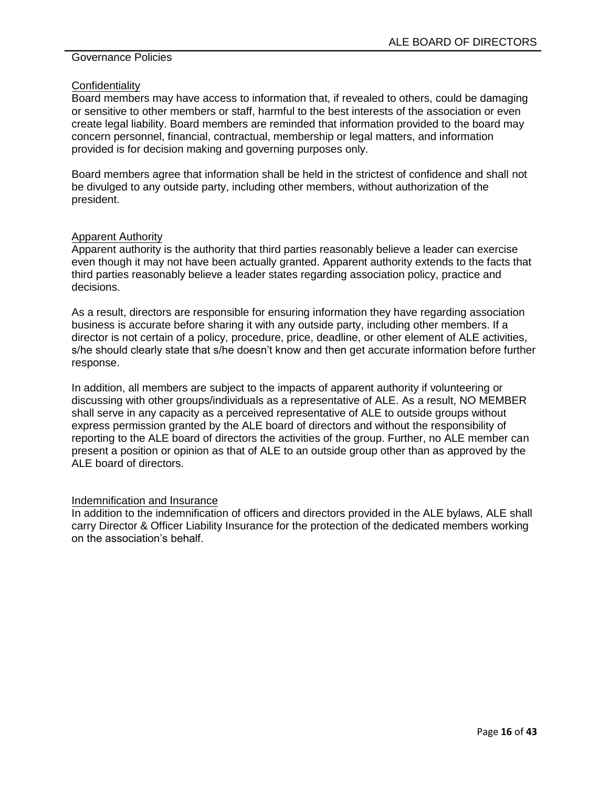#### **Confidentiality**

Board members may have access to information that, if revealed to others, could be damaging or sensitive to other members or staff, harmful to the best interests of the association or even create legal liability. Board members are reminded that information provided to the board may concern personnel, financial, contractual, membership or legal matters, and information provided is for decision making and governing purposes only.

Board members agree that information shall be held in the strictest of confidence and shall not be divulged to any outside party, including other members, without authorization of the president.

#### Apparent Authority

Apparent authority is the authority that third parties reasonably believe a leader can exercise even though it may not have been actually granted. Apparent authority extends to the facts that third parties reasonably believe a leader states regarding association policy, practice and decisions.

As a result, directors are responsible for ensuring information they have regarding association business is accurate before sharing it with any outside party, including other members. If a director is not certain of a policy, procedure, price, deadline, or other element of ALE activities, s/he should clearly state that s/he doesn't know and then get accurate information before further response.

In addition, all members are subject to the impacts of apparent authority if volunteering or discussing with other groups/individuals as a representative of ALE. As a result, NO MEMBER shall serve in any capacity as a perceived representative of ALE to outside groups without express permission granted by the ALE board of directors and without the responsibility of reporting to the ALE board of directors the activities of the group. Further, no ALE member can present a position or opinion as that of ALE to an outside group other than as approved by the ALE board of directors.

#### Indemnification and Insurance

In addition to the indemnification of officers and directors provided in the ALE bylaws, ALE shall carry Director & Officer Liability Insurance for the protection of the dedicated members working on the association's behalf.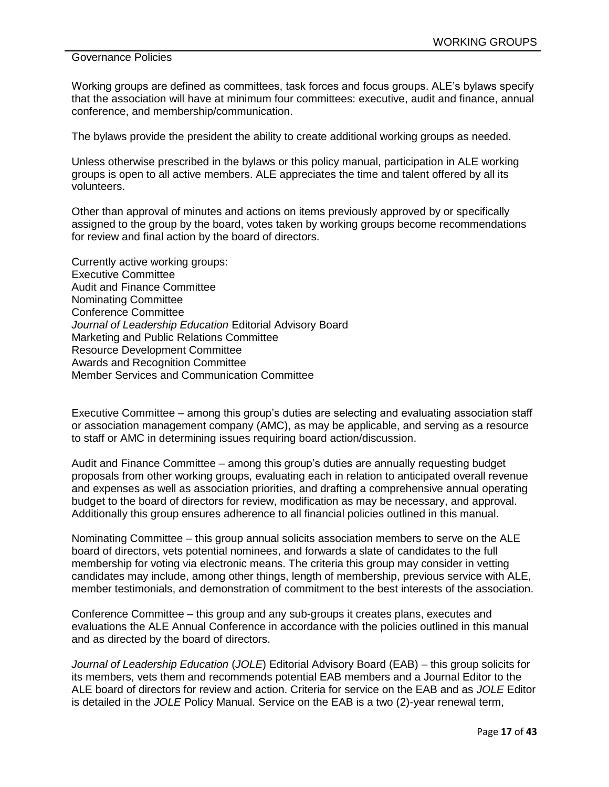Working groups are defined as committees, task forces and focus groups. ALE's bylaws specify that the association will have at minimum four committees: executive, audit and finance, annual conference, and membership/communication.

The bylaws provide the president the ability to create additional working groups as needed.

Unless otherwise prescribed in the bylaws or this policy manual, participation in ALE working groups is open to all active members. ALE appreciates the time and talent offered by all its volunteers.

Other than approval of minutes and actions on items previously approved by or specifically assigned to the group by the board, votes taken by working groups become recommendations for review and final action by the board of directors.

Currently active working groups: Executive Committee Audit and Finance Committee Nominating Committee Conference Committee *Journal of Leadership Education* Editorial Advisory Board Marketing and Public Relations Committee Resource Development Committee Awards and Recognition Committee Member Services and Communication Committee

Executive Committee – among this group's duties are selecting and evaluating association staff or association management company (AMC), as may be applicable, and serving as a resource to staff or AMC in determining issues requiring board action/discussion.

Audit and Finance Committee – among this group's duties are annually requesting budget proposals from other working groups, evaluating each in relation to anticipated overall revenue and expenses as well as association priorities, and drafting a comprehensive annual operating budget to the board of directors for review, modification as may be necessary, and approval. Additionally this group ensures adherence to all financial policies outlined in this manual.

Nominating Committee – this group annual solicits association members to serve on the ALE board of directors, vets potential nominees, and forwards a slate of candidates to the full membership for voting via electronic means. The criteria this group may consider in vetting candidates may include, among other things, length of membership, previous service with ALE, member testimonials, and demonstration of commitment to the best interests of the association.

Conference Committee – this group and any sub-groups it creates plans, executes and evaluations the ALE Annual Conference in accordance with the policies outlined in this manual and as directed by the board of directors.

*Journal of Leadership Education* (*JOLE*) Editorial Advisory Board (EAB) – this group solicits for its members, vets them and recommends potential EAB members and a Journal Editor to the ALE board of directors for review and action. Criteria for service on the EAB and as *JOLE* Editor is detailed in the *JOLE* Policy Manual. Service on the EAB is a two (2)-year renewal term,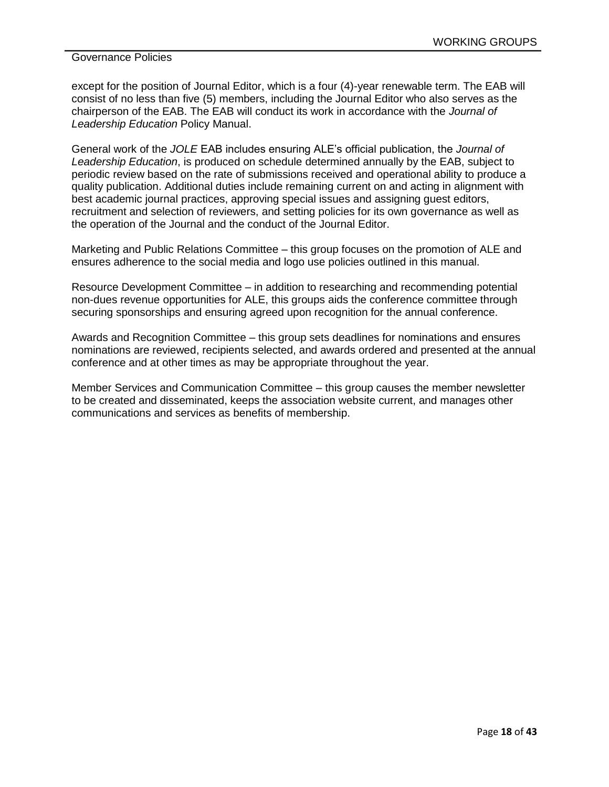except for the position of Journal Editor, which is a four (4)-year renewable term. The EAB will consist of no less than five (5) members, including the Journal Editor who also serves as the chairperson of the EAB. The EAB will conduct its work in accordance with the *Journal of Leadership Education* Policy Manual.

General work of the *JOLE* EAB includes ensuring ALE's official publication, the *Journal of Leadership Education*, is produced on schedule determined annually by the EAB, subject to periodic review based on the rate of submissions received and operational ability to produce a quality publication. Additional duties include remaining current on and acting in alignment with best academic journal practices, approving special issues and assigning guest editors, recruitment and selection of reviewers, and setting policies for its own governance as well as the operation of the Journal and the conduct of the Journal Editor.

Marketing and Public Relations Committee – this group focuses on the promotion of ALE and ensures adherence to the social media and logo use policies outlined in this manual.

Resource Development Committee – in addition to researching and recommending potential non-dues revenue opportunities for ALE, this groups aids the conference committee through securing sponsorships and ensuring agreed upon recognition for the annual conference.

Awards and Recognition Committee – this group sets deadlines for nominations and ensures nominations are reviewed, recipients selected, and awards ordered and presented at the annual conference and at other times as may be appropriate throughout the year.

Member Services and Communication Committee – this group causes the member newsletter to be created and disseminated, keeps the association website current, and manages other communications and services as benefits of membership.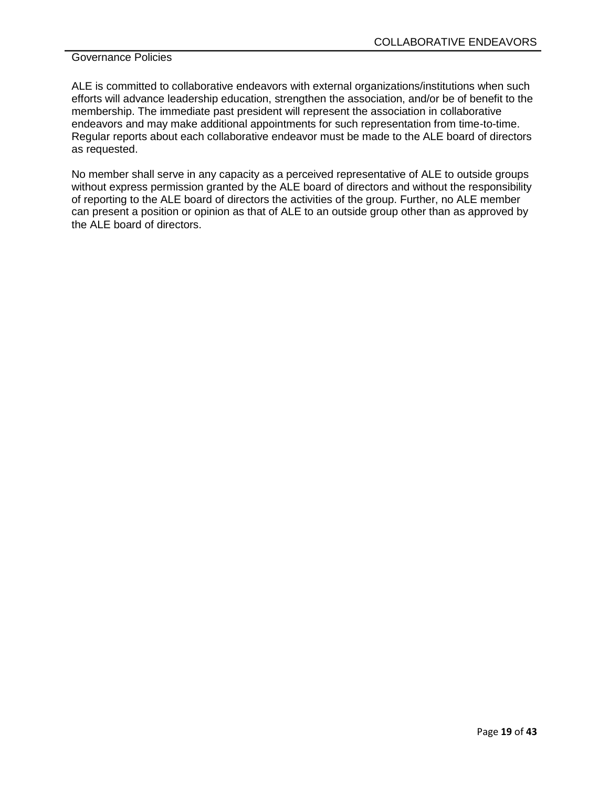ALE is committed to collaborative endeavors with external organizations/institutions when such efforts will advance leadership education, strengthen the association, and/or be of benefit to the membership. The immediate past president will represent the association in collaborative endeavors and may make additional appointments for such representation from time-to-time. Regular reports about each collaborative endeavor must be made to the ALE board of directors as requested.

No member shall serve in any capacity as a perceived representative of ALE to outside groups without express permission granted by the ALE board of directors and without the responsibility of reporting to the ALE board of directors the activities of the group. Further, no ALE member can present a position or opinion as that of ALE to an outside group other than as approved by the ALE board of directors.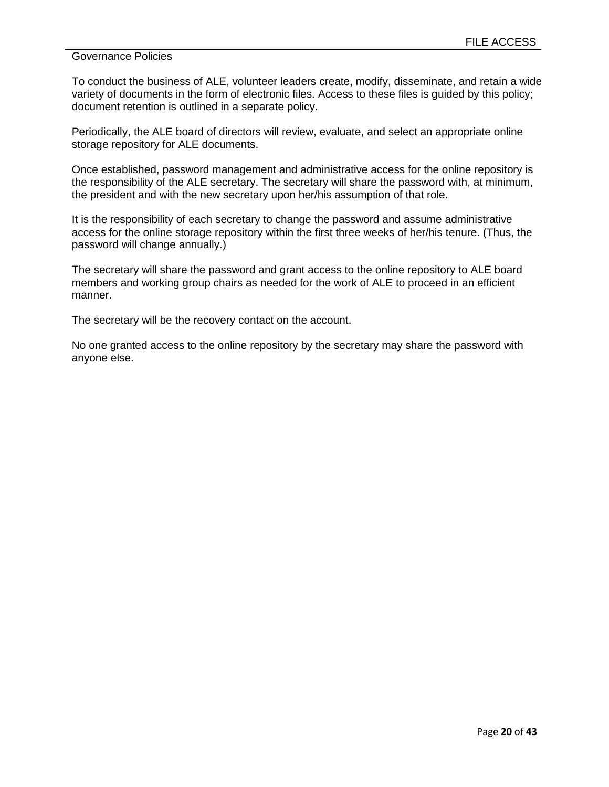To conduct the business of ALE, volunteer leaders create, modify, disseminate, and retain a wide variety of documents in the form of electronic files. Access to these files is guided by this policy; document retention is outlined in a separate policy.

Periodically, the ALE board of directors will review, evaluate, and select an appropriate online storage repository for ALE documents.

Once established, password management and administrative access for the online repository is the responsibility of the ALE secretary. The secretary will share the password with, at minimum, the president and with the new secretary upon her/his assumption of that role.

It is the responsibility of each secretary to change the password and assume administrative access for the online storage repository within the first three weeks of her/his tenure. (Thus, the password will change annually.)

The secretary will share the password and grant access to the online repository to ALE board members and working group chairs as needed for the work of ALE to proceed in an efficient manner.

The secretary will be the recovery contact on the account.

No one granted access to the online repository by the secretary may share the password with anyone else.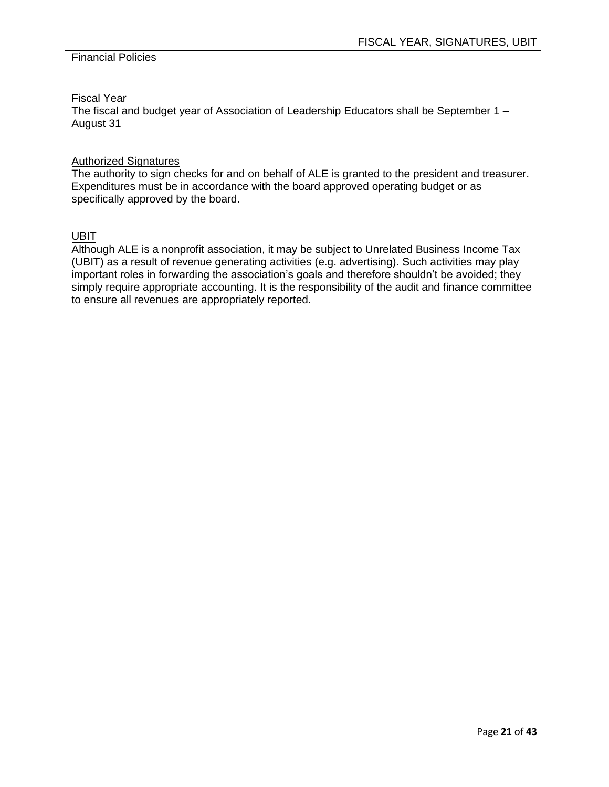## Financial Policies

# Fiscal Year

The fiscal and budget year of Association of Leadership Educators shall be September 1 – August 31

## Authorized Signatures

The authority to sign checks for and on behalf of ALE is granted to the president and treasurer. Expenditures must be in accordance with the board approved operating budget or as specifically approved by the board.

## UBIT

Although ALE is a nonprofit association, it may be subject to Unrelated Business Income Tax (UBIT) as a result of revenue generating activities (e.g. advertising). Such activities may play important roles in forwarding the association's goals and therefore shouldn't be avoided; they simply require appropriate accounting. It is the responsibility of the audit and finance committee to ensure all revenues are appropriately reported.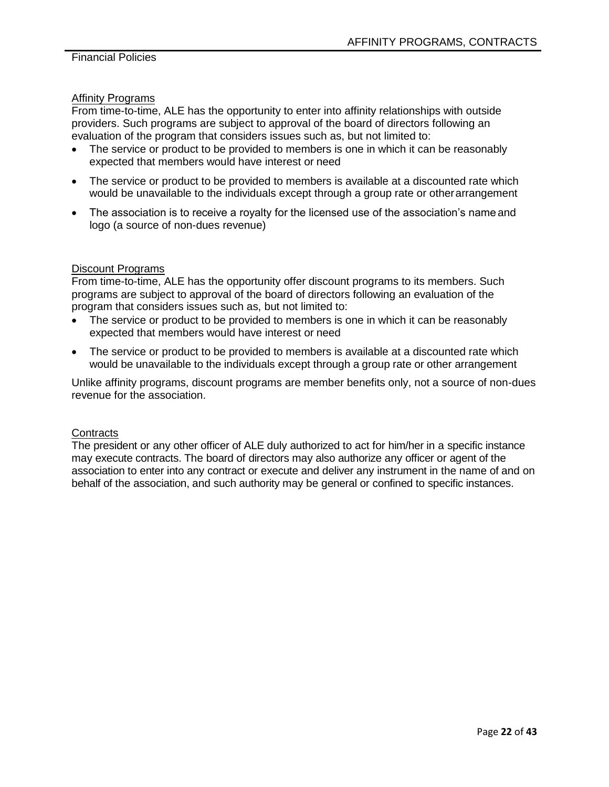# Affinity Programs

From time-to-time, ALE has the opportunity to enter into affinity relationships with outside providers. Such programs are subject to approval of the board of directors following an evaluation of the program that considers issues such as, but not limited to:

- The service or product to be provided to members is one in which it can be reasonably expected that members would have interest or need
- The service or product to be provided to members is available at a discounted rate which would be unavailable to the individuals except through a group rate or other arrangement
- The association is to receive a royalty for the licensed use of the association's name and logo (a source of non-dues revenue)

#### Discount Programs

From time-to-time, ALE has the opportunity offer discount programs to its members. Such programs are subject to approval of the board of directors following an evaluation of the program that considers issues such as, but not limited to:

- The service or product to be provided to members is one in which it can be reasonably expected that members would have interest or need
- The service or product to be provided to members is available at a discounted rate which would be unavailable to the individuals except through a group rate or other arrangement

Unlike affinity programs, discount programs are member benefits only, not a source of non-dues revenue for the association.

#### **Contracts**

The president or any other officer of ALE duly authorized to act for him/her in a specific instance may execute contracts. The board of directors may also authorize any officer or agent of the association to enter into any contract or execute and deliver any instrument in the name of and on behalf of the association, and such authority may be general or confined to specific instances.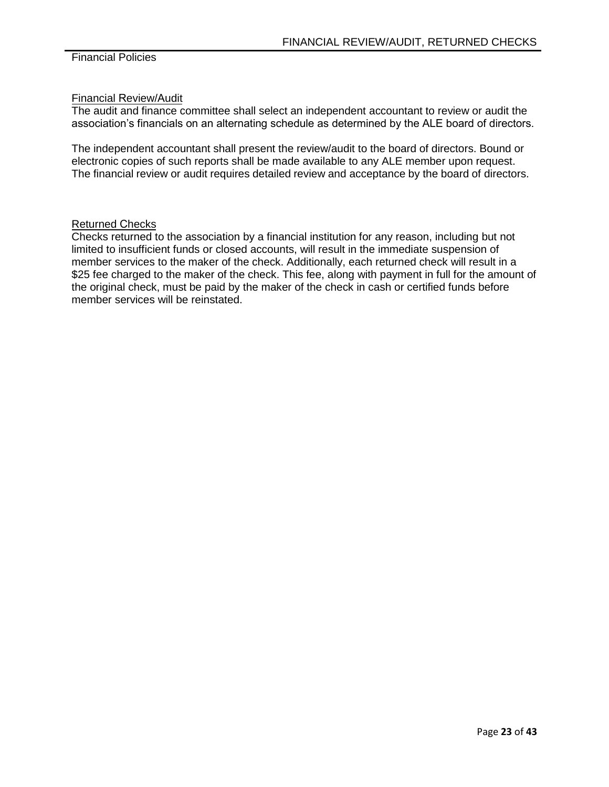## Financial Review/Audit

The audit and finance committee shall select an independent accountant to review or audit the association's financials on an alternating schedule as determined by the ALE board of directors.

The independent accountant shall present the review/audit to the board of directors. Bound or electronic copies of such reports shall be made available to any ALE member upon request. The financial review or audit requires detailed review and acceptance by the board of directors.

## Returned Checks

Checks returned to the association by a financial institution for any reason, including but not limited to insufficient funds or closed accounts, will result in the immediate suspension of member services to the maker of the check. Additionally, each returned check will result in a \$25 fee charged to the maker of the check. This fee, along with payment in full for the amount of the original check, must be paid by the maker of the check in cash or certified funds before member services will be reinstated.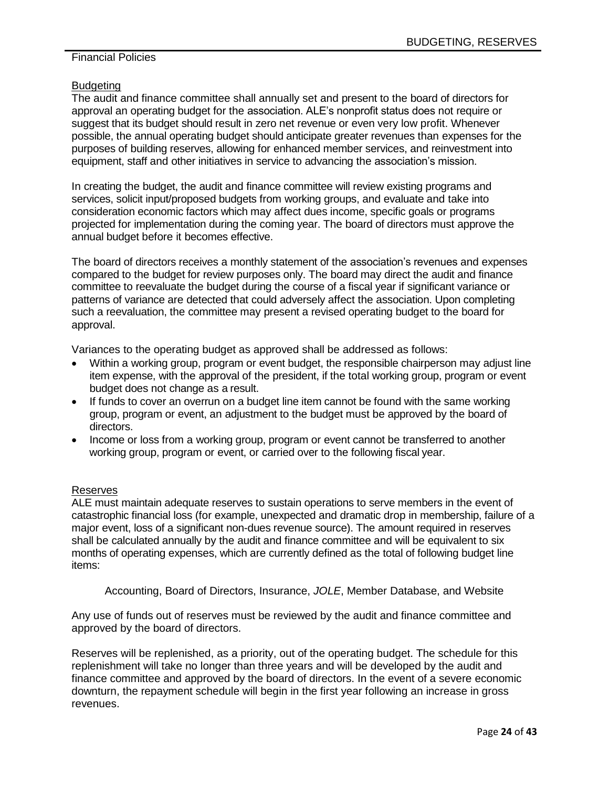## Financial Policies

## Budgeting

The audit and finance committee shall annually set and present to the board of directors for approval an operating budget for the association. ALE's nonprofit status does not require or suggest that its budget should result in zero net revenue or even very low profit. Whenever possible, the annual operating budget should anticipate greater revenues than expenses for the purposes of building reserves, allowing for enhanced member services, and reinvestment into equipment, staff and other initiatives in service to advancing the association's mission.

In creating the budget, the audit and finance committee will review existing programs and services, solicit input/proposed budgets from working groups, and evaluate and take into consideration economic factors which may affect dues income, specific goals or programs projected for implementation during the coming year. The board of directors must approve the annual budget before it becomes effective.

The board of directors receives a monthly statement of the association's revenues and expenses compared to the budget for review purposes only. The board may direct the audit and finance committee to reevaluate the budget during the course of a fiscal year if significant variance or patterns of variance are detected that could adversely affect the association. Upon completing such a reevaluation, the committee may present a revised operating budget to the board for approval.

Variances to the operating budget as approved shall be addressed as follows:

- Within a working group, program or event budget, the responsible chairperson may adjust line item expense, with the approval of the president, if the total working group, program or event budget does not change as a result.
- If funds to cover an overrun on a budget line item cannot be found with the same working group, program or event, an adjustment to the budget must be approved by the board of directors.
- Income or loss from a working group, program or event cannot be transferred to another working group, program or event, or carried over to the following fiscal year.

#### Reserves

ALE must maintain adequate reserves to sustain operations to serve members in the event of catastrophic financial loss (for example, unexpected and dramatic drop in membership, failure of a major event, loss of a significant non-dues revenue source). The amount required in reserves shall be calculated annually by the audit and finance committee and will be equivalent to six months of operating expenses, which are currently defined as the total of following budget line items:

Accounting, Board of Directors, Insurance, *JOLE*, Member Database, and Website

Any use of funds out of reserves must be reviewed by the audit and finance committee and approved by the board of directors.

Reserves will be replenished, as a priority, out of the operating budget. The schedule for this replenishment will take no longer than three years and will be developed by the audit and finance committee and approved by the board of directors. In the event of a severe economic downturn, the repayment schedule will begin in the first year following an increase in gross revenues.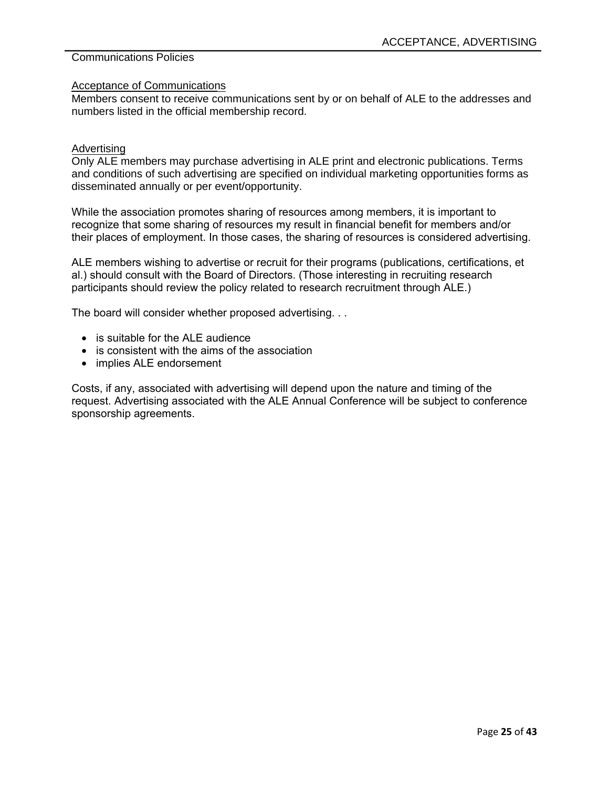#### Acceptance of Communications

Members consent to receive communications sent by or on behalf of ALE to the addresses and numbers listed in the official membership record.

#### Advertising

Only ALE members may purchase advertising in ALE print and electronic publications. Terms and conditions of such advertising are specified on individual marketing opportunities forms as disseminated annually or per event/opportunity.

While the association promotes sharing of resources among members, it is important to recognize that some sharing of resources my result in financial benefit for members and/or their places of employment. In those cases, the sharing of resources is considered advertising.

ALE members wishing to advertise or recruit for their programs (publications, certifications, et al.) should consult with the Board of Directors. (Those interesting in recruiting research participants should review the policy related to research recruitment through ALE.)

The board will consider whether proposed advertising. . .

- is suitable for the ALE audience
- is consistent with the aims of the association
- implies ALE endorsement

Costs, if any, associated with advertising will depend upon the nature and timing of the request. Advertising associated with the ALE Annual Conference will be subject to conference sponsorship agreements.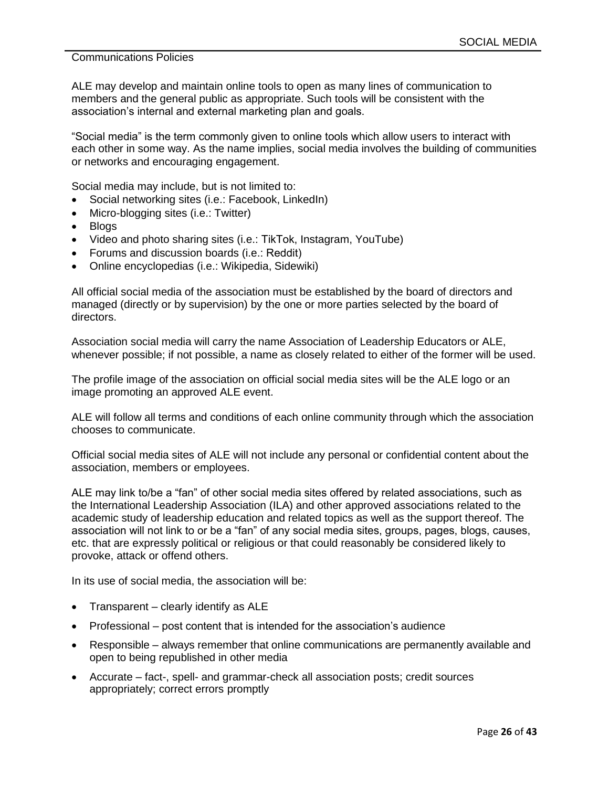ALE may develop and maintain online tools to open as many lines of communication to members and the general public as appropriate. Such tools will be consistent with the association's internal and external marketing plan and goals.

"Social media" is the term commonly given to online tools which allow users to interact with each other in some way. As the name implies, social media involves the building of communities or networks and encouraging engagement.

Social media may include, but is not limited to:

- Social networking sites (i.e.: Facebook, LinkedIn)
- Micro-blogging sites (i.e.: Twitter)
- Blogs
- Video and photo sharing sites (i.e.: TikTok, Instagram, YouTube)
- Forums and discussion boards (i.e.: Reddit)
- Online encyclopedias (i.e.: Wikipedia, Sidewiki)

All official social media of the association must be established by the board of directors and managed (directly or by supervision) by the one or more parties selected by the board of directors.

Association social media will carry the name Association of Leadership Educators or ALE, whenever possible; if not possible, a name as closely related to either of the former will be used.

The profile image of the association on official social media sites will be the ALE logo or an image promoting an approved ALE event.

ALE will follow all terms and conditions of each online community through which the association chooses to communicate.

Official social media sites of ALE will not include any personal or confidential content about the association, members or employees.

ALE may link to/be a "fan" of other social media sites offered by related associations, such as the International Leadership Association (ILA) and other approved associations related to the academic study of leadership education and related topics as well as the support thereof. The association will not link to or be a "fan" of any social media sites, groups, pages, blogs, causes, etc. that are expressly political or religious or that could reasonably be considered likely to provoke, attack or offend others.

In its use of social media, the association will be:

- Transparent clearly identify as ALE
- Professional post content that is intended for the association's audience
- Responsible always remember that online communications are permanently available and open to being republished in other media
- Accurate fact-, spell- and grammar-check all association posts; credit sources appropriately; correct errors promptly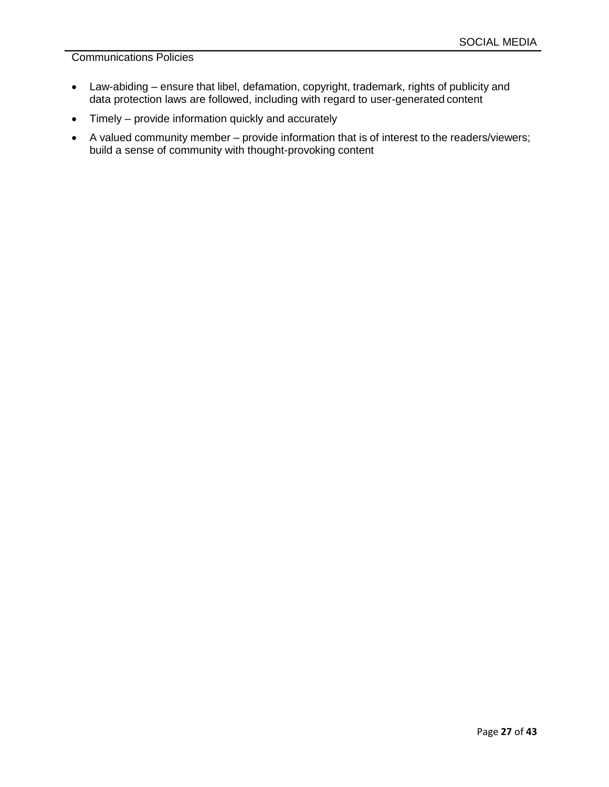- Law-abiding ensure that libel, defamation, copyright, trademark, rights of publicity and data protection laws are followed, including with regard to user-generated content
- Timely provide information quickly and accurately
- A valued community member provide information that is of interest to the readers/viewers; build a sense of community with thought-provoking content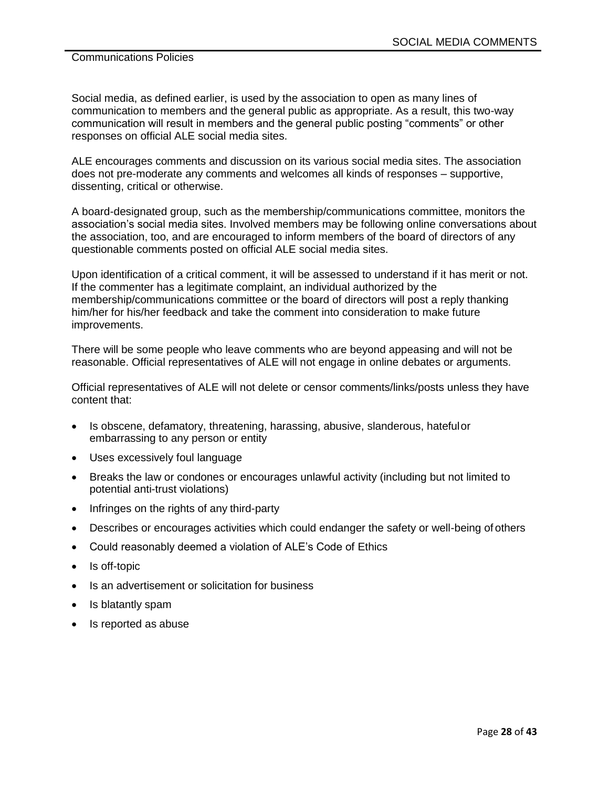Social media, as defined earlier, is used by the association to open as many lines of communication to members and the general public as appropriate. As a result, this two-way communication will result in members and the general public posting "comments" or other responses on official ALE social media sites.

ALE encourages comments and discussion on its various social media sites. The association does not pre-moderate any comments and welcomes all kinds of responses – supportive, dissenting, critical or otherwise.

A board-designated group, such as the membership/communications committee, monitors the association's social media sites. Involved members may be following online conversations about the association, too, and are encouraged to inform members of the board of directors of any questionable comments posted on official ALE social media sites.

Upon identification of a critical comment, it will be assessed to understand if it has merit or not. If the commenter has a legitimate complaint, an individual authorized by the membership/communications committee or the board of directors will post a reply thanking him/her for his/her feedback and take the comment into consideration to make future improvements.

There will be some people who leave comments who are beyond appeasing and will not be reasonable. Official representatives of ALE will not engage in online debates or arguments.

Official representatives of ALE will not delete or censor comments/links/posts unless they have content that:

- Is obscene, defamatory, threatening, harassing, abusive, slanderous, hateful or embarrassing to any person or entity
- Uses excessively foul language
- Breaks the law or condones or encourages unlawful activity (including but not limited to potential anti-trust violations)
- Infringes on the rights of any third-party
- Describes or encourages activities which could endanger the safety or well-being of others
- Could reasonably deemed a violation of ALE's Code of Ethics
- Is off-topic
- Is an advertisement or solicitation for business
- Is blatantly spam
- Is reported as abuse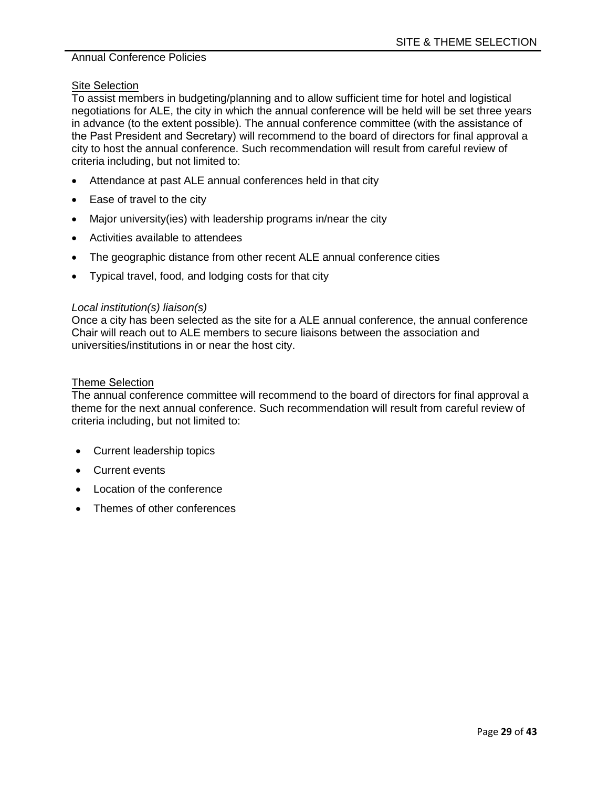#### Site Selection

To assist members in budgeting/planning and to allow sufficient time for hotel and logistical negotiations for ALE, the city in which the annual conference will be held will be set three years in advance (to the extent possible). The annual conference committee (with the assistance of the Past President and Secretary) will recommend to the board of directors for final approval a city to host the annual conference. Such recommendation will result from careful review of criteria including, but not limited to:

- Attendance at past ALE annual conferences held in that city
- Ease of travel to the city
- Major university(ies) with leadership programs in/near the city
- Activities available to attendees
- The geographic distance from other recent ALE annual conference cities
- Typical travel, food, and lodging costs for that city

#### *Local institution(s) liaison(s)*

Once a city has been selected as the site for a ALE annual conference, the annual conference Chair will reach out to ALE members to secure liaisons between the association and universities/institutions in or near the host city.

#### Theme Selection

The annual conference committee will recommend to the board of directors for final approval a theme for the next annual conference. Such recommendation will result from careful review of criteria including, but not limited to:

- Current leadership topics
- Current events
- Location of the conference
- Themes of other conferences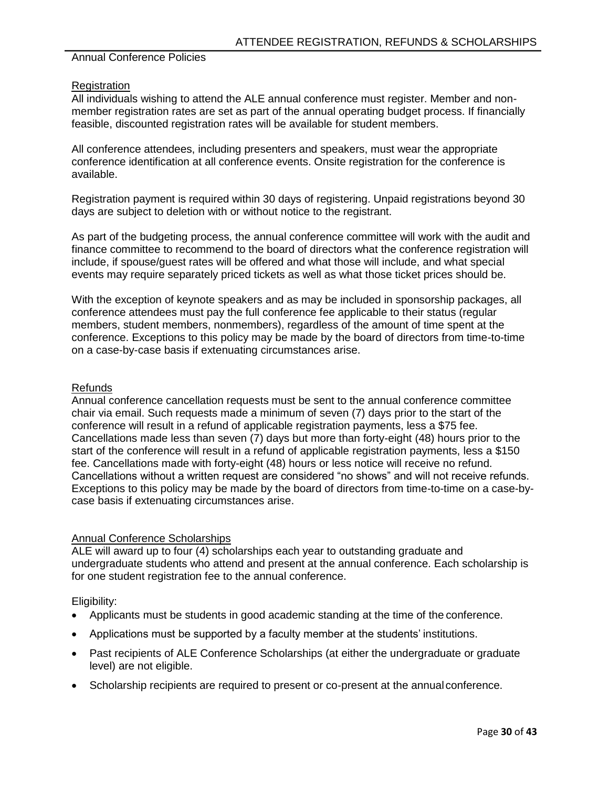#### **Registration**

All individuals wishing to attend the ALE annual conference must register. Member and nonmember registration rates are set as part of the annual operating budget process. If financially feasible, discounted registration rates will be available for student members.

All conference attendees, including presenters and speakers, must wear the appropriate conference identification at all conference events. Onsite registration for the conference is available.

Registration payment is required within 30 days of registering. Unpaid registrations beyond 30 days are subject to deletion with or without notice to the registrant.

As part of the budgeting process, the annual conference committee will work with the audit and finance committee to recommend to the board of directors what the conference registration will include, if spouse/guest rates will be offered and what those will include, and what special events may require separately priced tickets as well as what those ticket prices should be.

With the exception of keynote speakers and as may be included in sponsorship packages, all conference attendees must pay the full conference fee applicable to their status (regular members, student members, nonmembers), regardless of the amount of time spent at the conference. Exceptions to this policy may be made by the board of directors from time-to-time on a case-by-case basis if extenuating circumstances arise.

#### Refunds

Annual conference cancellation requests must be sent to the annual conference committee chair via email. Such requests made a minimum of seven (7) days prior to the start of the conference will result in a refund of applicable registration payments, less a \$75 fee. Cancellations made less than seven (7) days but more than forty-eight (48) hours prior to the start of the conference will result in a refund of applicable registration payments, less a \$150 fee. Cancellations made with forty-eight (48) hours or less notice will receive no refund. Cancellations without a written request are considered "no shows" and will not receive refunds. Exceptions to this policy may be made by the board of directors from time-to-time on a case-bycase basis if extenuating circumstances arise.

#### Annual Conference Scholarships

ALE will award up to four (4) scholarships each year to outstanding graduate and undergraduate students who attend and present at the annual conference. Each scholarship is for one student registration fee to the annual conference.

- Applicants must be students in good academic standing at the time of the conference.
- Applications must be supported by a faculty member at the students' institutions.
- Past recipients of ALE Conference Scholarships (at either the undergraduate or graduate level) are not eligible.
- Scholarship recipients are required to present or co-present at the annual conference.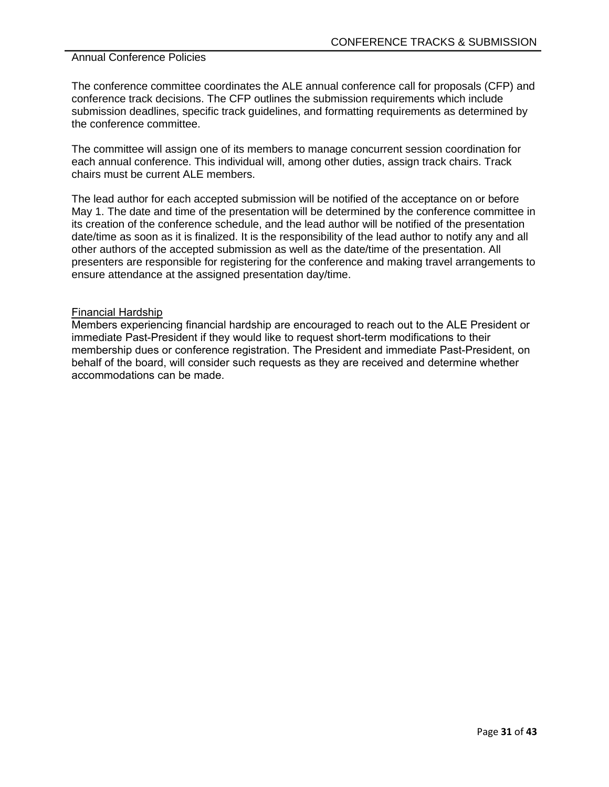The conference committee coordinates the ALE annual conference call for proposals (CFP) and conference track decisions. The CFP outlines the submission requirements which include submission deadlines, specific track guidelines, and formatting requirements as determined by the conference committee.

The committee will assign one of its members to manage concurrent session coordination for each annual conference. This individual will, among other duties, assign track chairs. Track chairs must be current ALE members.

The lead author for each accepted submission will be notified of the acceptance on or before May 1. The date and time of the presentation will be determined by the conference committee in its creation of the conference schedule, and the lead author will be notified of the presentation date/time as soon as it is finalized. It is the responsibility of the lead author to notify any and all other authors of the accepted submission as well as the date/time of the presentation. All presenters are responsible for registering for the conference and making travel arrangements to ensure attendance at the assigned presentation day/time.

#### Financial Hardship

Members experiencing financial hardship are encouraged to reach out to the ALE President or immediate Past-President if they would like to request short-term modifications to their membership dues or conference registration. The President and immediate Past-President, on behalf of the board, will consider such requests as they are received and determine whether accommodations can be made.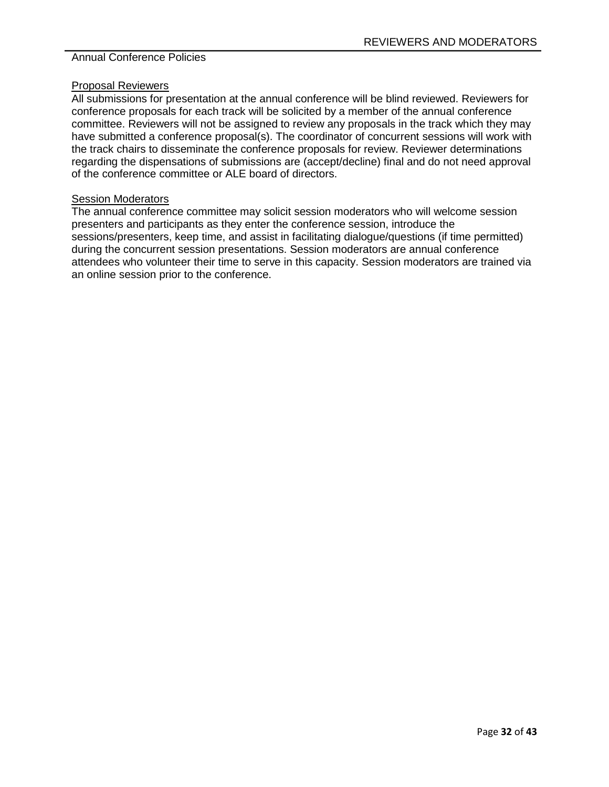#### Proposal Reviewers

All submissions for presentation at the annual conference will be blind reviewed. Reviewers for conference proposals for each track will be solicited by a member of the annual conference committee. Reviewers will not be assigned to review any proposals in the track which they may have submitted a conference proposal(s). The coordinator of concurrent sessions will work with the track chairs to disseminate the conference proposals for review. Reviewer determinations regarding the dispensations of submissions are (accept/decline) final and do not need approval of the conference committee or ALE board of directors.

## **Session Moderators**

The annual conference committee may solicit session moderators who will welcome session presenters and participants as they enter the conference session, introduce the sessions/presenters, keep time, and assist in facilitating dialogue/questions (if time permitted) during the concurrent session presentations. Session moderators are annual conference attendees who volunteer their time to serve in this capacity. Session moderators are trained via an online session prior to the conference.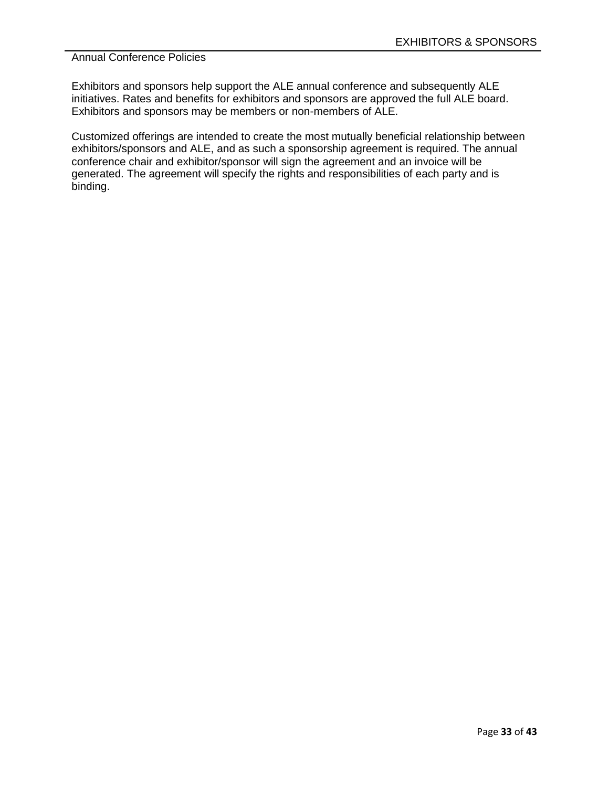Exhibitors and sponsors help support the ALE annual conference and subsequently ALE initiatives. Rates and benefits for exhibitors and sponsors are approved the full ALE board. Exhibitors and sponsors may be members or non-members of ALE.

Customized offerings are intended to create the most mutually beneficial relationship between exhibitors/sponsors and ALE, and as such a sponsorship agreement is required. The annual conference chair and exhibitor/sponsor will sign the agreement and an invoice will be generated. The agreement will specify the rights and responsibilities of each party and is binding.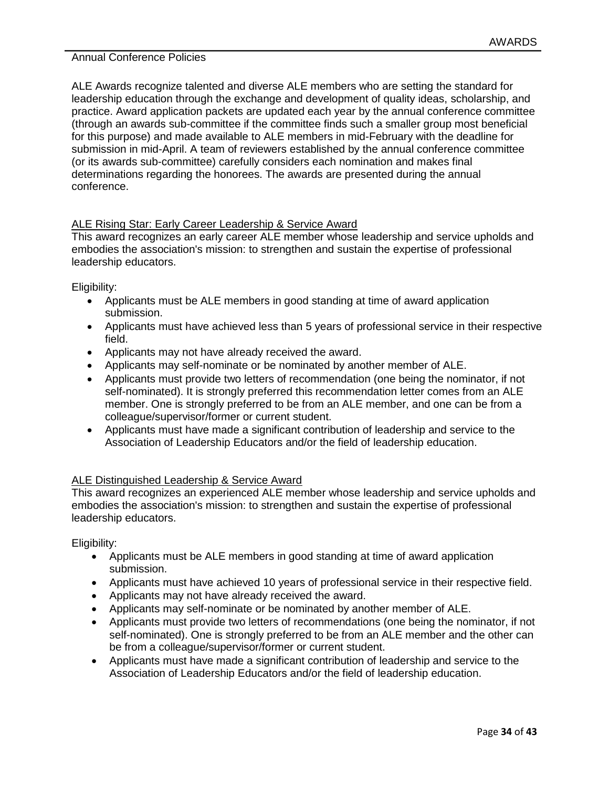ALE Awards recognize talented and diverse ALE members who are setting the standard for leadership education through the exchange and development of quality ideas, scholarship, and practice. Award application packets are updated each year by the annual conference committee (through an awards sub-committee if the committee finds such a smaller group most beneficial for this purpose) and made available to ALE members in mid-February with the deadline for submission in mid-April. A team of reviewers established by the annual conference committee (or its awards sub-committee) carefully considers each nomination and makes final determinations regarding the honorees. The awards are presented during the annual conference.

# ALE Rising Star: Early Career Leadership & Service Award

This award recognizes an early career ALE member whose leadership and service upholds and embodies the association's mission: to strengthen and sustain the expertise of professional leadership educators.

Eligibility:

- Applicants must be ALE members in good standing at time of award application submission.
- Applicants must have achieved less than 5 years of professional service in their respective field.
- Applicants may not have already received the award.
- Applicants may self-nominate or be nominated by another member of ALE.
- Applicants must provide two letters of recommendation (one being the nominator, if not self-nominated). It is strongly preferred this recommendation letter comes from an ALE member. One is strongly preferred to be from an ALE member, and one can be from a colleague/supervisor/former or current student.
- Applicants must have made a significant contribution of leadership and service to the Association of Leadership Educators and/or the field of leadership education.

#### ALE Distinguished Leadership & Service Award

This award recognizes an experienced ALE member whose leadership and service upholds and embodies the association's mission: to strengthen and sustain the expertise of professional leadership educators.

- Applicants must be ALE members in good standing at time of award application submission.
- Applicants must have achieved 10 years of professional service in their respective field.
- Applicants may not have already received the award.
- Applicants may self-nominate or be nominated by another member of ALE.
- Applicants must provide two letters of recommendations (one being the nominator, if not self-nominated). One is strongly preferred to be from an ALE member and the other can be from a colleague/supervisor/former or current student.
- Applicants must have made a significant contribution of leadership and service to the Association of Leadership Educators and/or the field of leadership education.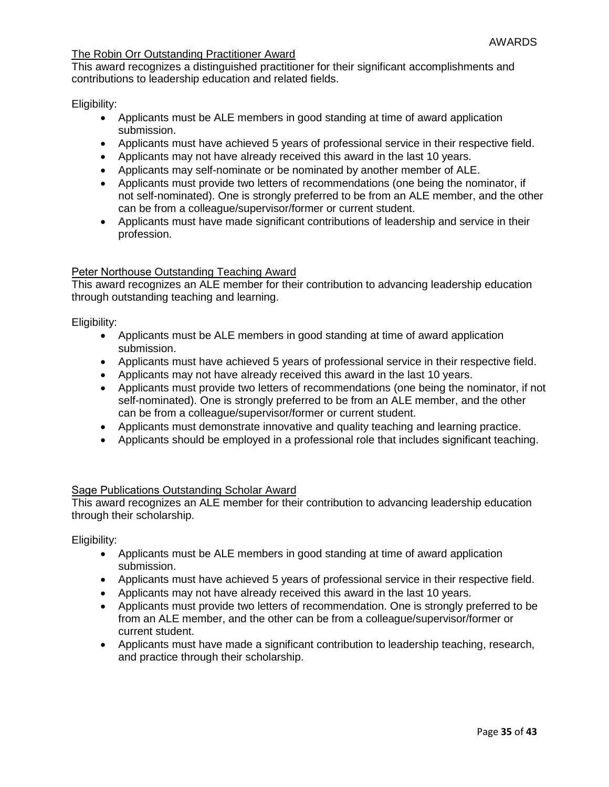## The Robin Orr Outstanding Practitioner Award

This award recognizes a distinguished practitioner for their significant accomplishments and contributions to leadership education and related fields.

Eligibility:

- Applicants must be ALE members in good standing at time of award application submission.
- Applicants must have achieved 5 years of professional service in their respective field.
- Applicants may not have already received this award in the last 10 years.
- Applicants may self-nominate or be nominated by another member of ALE.
- Applicants must provide two letters of recommendations (one being the nominator, if not self-nominated). One is strongly preferred to be from an ALE member, and the other can be from a colleague/supervisor/former or current student.
- Applicants must have made significant contributions of leadership and service in their profession.

#### Peter Northouse Outstanding Teaching Award

This award recognizes an ALE member for their contribution to advancing leadership education through outstanding teaching and learning.

Eligibility:

- Applicants must be ALE members in good standing at time of award application submission.
- Applicants must have achieved 5 years of professional service in their respective field.
- Applicants may not have already received this award in the last 10 years.
- Applicants must provide two letters of recommendations (one being the nominator, if not self-nominated). One is strongly preferred to be from an ALE member, and the other can be from a colleague/supervisor/former or current student.
- Applicants must demonstrate innovative and quality teaching and learning practice.
- Applicants should be employed in a professional role that includes significant teaching.

#### Sage Publications Outstanding Scholar Award

This award recognizes an ALE member for their contribution to advancing leadership education through their scholarship.

- Applicants must be ALE members in good standing at time of award application submission.
- Applicants must have achieved 5 years of professional service in their respective field.
- Applicants may not have already received this award in the last 10 years.
- Applicants must provide two letters of recommendation. One is strongly preferred to be from an ALE member, and the other can be from a colleague/supervisor/former or current student.
- Applicants must have made a significant contribution to leadership teaching, research, and practice through their scholarship.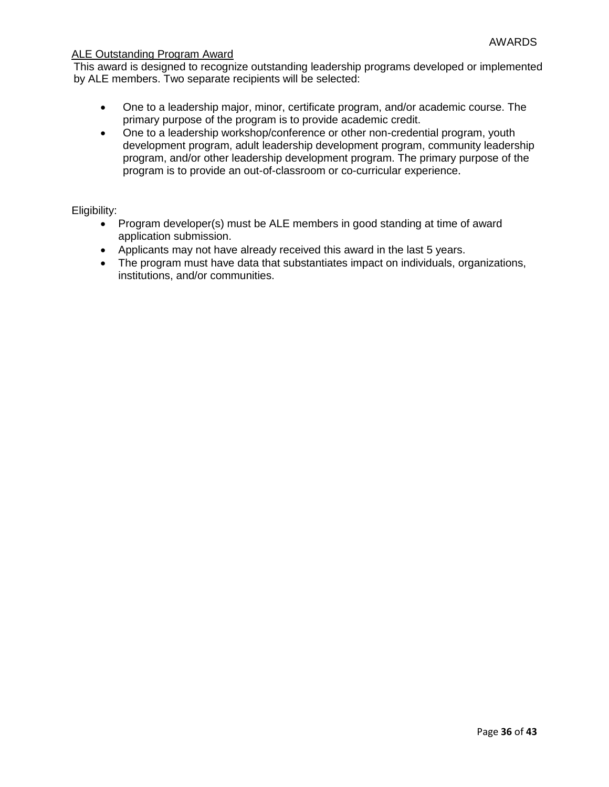## ALE Outstanding Program Award

This award is designed to recognize outstanding leadership programs developed or implemented by ALE members. Two separate recipients will be selected:

- One to a leadership major, minor, certificate program, and/or academic course. The primary purpose of the program is to provide academic credit.
- One to a leadership workshop/conference or other non-credential program, youth development program, adult leadership development program, community leadership program, and/or other leadership development program. The primary purpose of the program is to provide an out-of-classroom or co-curricular experience.

- Program developer(s) must be ALE members in good standing at time of award application submission.
- Applicants may not have already received this award in the last 5 years.
- The program must have data that substantiates impact on individuals, organizations, institutions, and/or communities.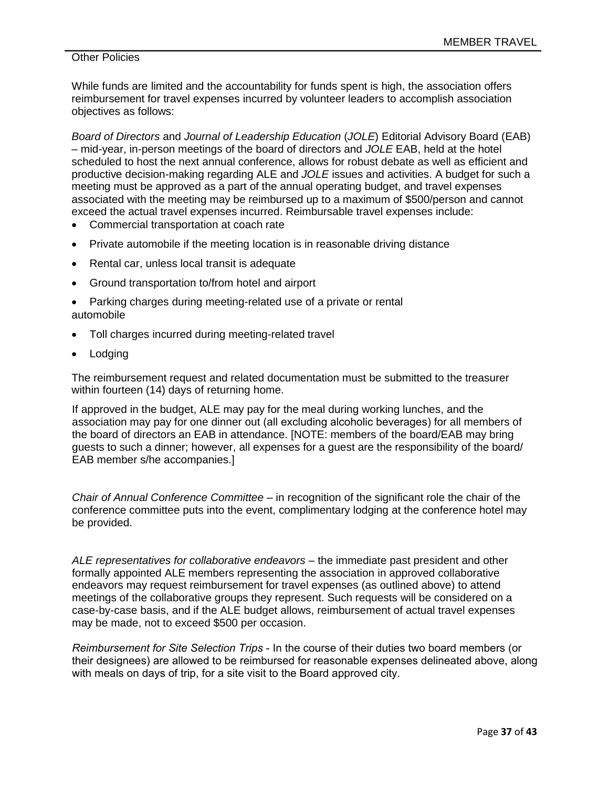## **Other Policies**

While funds are limited and the accountability for funds spent is high, the association offers reimbursement for travel expenses incurred by volunteer leaders to accomplish association objectives as follows:

*Board of Directors* and *Journal of Leadership Education* (*JOLE*) Editorial Advisory Board (EAB) – mid-year, in-person meetings of the board of directors and *JOLE* EAB, held at the hotel scheduled to host the next annual conference, allows for robust debate as well as efficient and productive decision-making regarding ALE and *JOLE* issues and activities. A budget for such a meeting must be approved as a part of the annual operating budget, and travel expenses associated with the meeting may be reimbursed up to a maximum of \$500/person and cannot exceed the actual travel expenses incurred. Reimbursable travel expenses include:

- Commercial transportation at coach rate
- Private automobile if the meeting location is in reasonable driving distance
- Rental car, unless local transit is adequate
- Ground transportation to/from hotel and airport
- Parking charges during meeting-related use of a private or rental automobile
- Toll charges incurred during meeting-related travel
- Lodging

The reimbursement request and related documentation must be submitted to the treasurer within fourteen (14) days of returning home.

If approved in the budget, ALE may pay for the meal during working lunches, and the association may pay for one dinner out (all excluding alcoholic beverages) for all members of the board of directors an EAB in attendance. [NOTE: members of the board/EAB may bring guests to such a dinner; however, all expenses for a guest are the responsibility of the board/ EAB member s/he accompanies.]

*Chair of Annual Conference Committee* – in recognition of the significant role the chair of the conference committee puts into the event, complimentary lodging at the conference hotel may be provided.

ALE representatives for collaborative endeavors – the immediate past president and other formally appointed ALE members representing the association in approved collaborative endeavors may request reimbursement for travel expenses (as outlined above) to attend meetings of the collaborative groups they represent. Such requests will be considered on a case-by-case basis, and if the ALE budget allows, reimbursement of actual travel expenses may be made, not to exceed \$500 per occasion.

*Reimbursement for Site Selection Trips* - In the course of their duties two board members (or their designees) are allowed to be reimbursed for reasonable expenses delineated above, along with meals on days of trip, for a site visit to the Board approved city.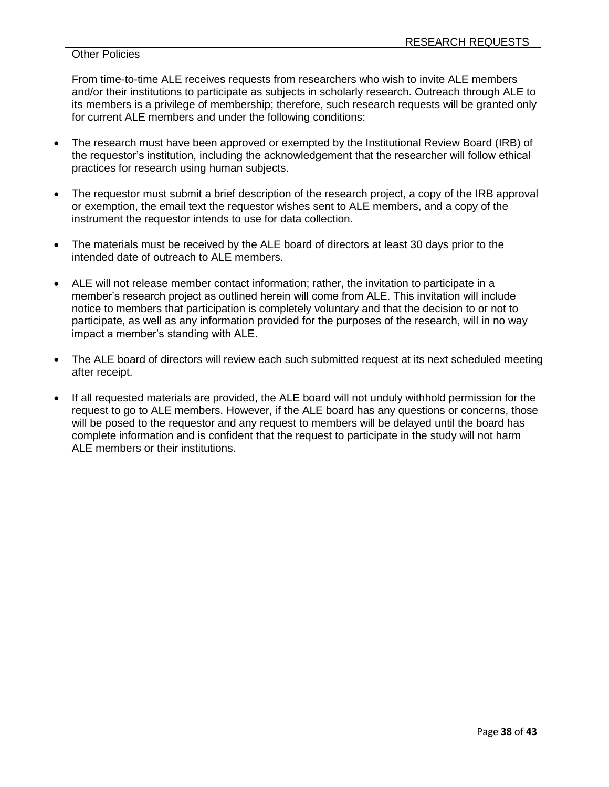## Other Policies

From time-to-time ALE receives requests from researchers who wish to invite ALE members and/or their institutions to participate as subjects in scholarly research. Outreach through ALE to its members is a privilege of membership; therefore, such research requests will be granted only for current ALE members and under the following conditions:

- The research must have been approved or exempted by the Institutional Review Board (IRB) of the requestor's institution, including the acknowledgement that the researcher will follow ethical practices for research using human subjects.
- The requestor must submit a brief description of the research project, a copy of the IRB approval or exemption, the email text the requestor wishes sent to ALE members, and a copy of the instrument the requestor intends to use for data collection.
- The materials must be received by the ALE board of directors at least 30 days prior to the intended date of outreach to ALE members.
- ALE will not release member contact information; rather, the invitation to participate in a member's research project as outlined herein will come from ALE. This invitation will include notice to members that participation is completely voluntary and that the decision to or not to participate, as well as any information provided for the purposes of the research, will in no way impact a member's standing with ALE.
- The ALE board of directors will review each such submitted request at its next scheduled meeting after receipt.
- If all requested materials are provided, the ALE board will not unduly withhold permission for the request to go to ALE members. However, if the ALE board has any questions or concerns, those will be posed to the requestor and any request to members will be delayed until the board has complete information and is confident that the request to participate in the study will not harm ALE members or their institutions.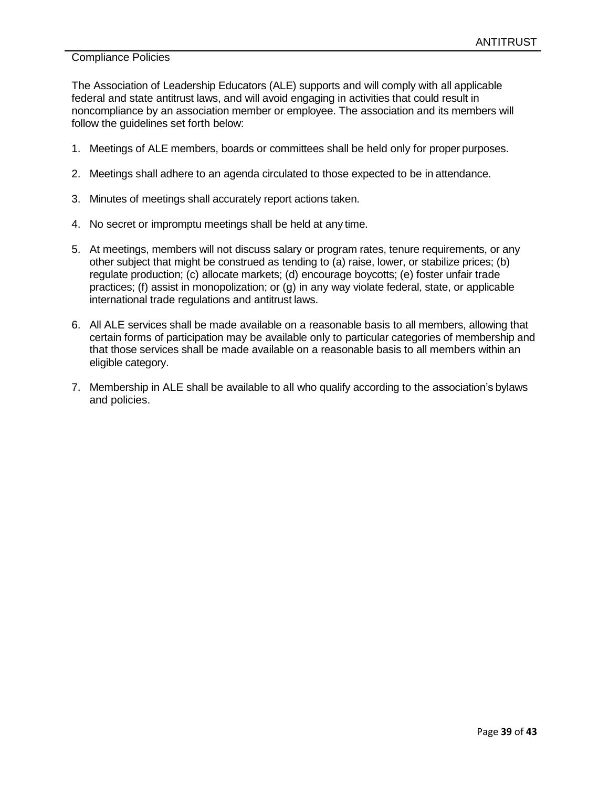The Association of Leadership Educators (ALE) supports and will comply with all applicable federal and state antitrust laws, and will avoid engaging in activities that could result in noncompliance by an association member or employee. The association and its members will follow the guidelines set forth below:

- 1. Meetings of ALE members, boards or committees shall be held only for proper purposes.
- 2. Meetings shall adhere to an agenda circulated to those expected to be in attendance.
- 3. Minutes of meetings shall accurately report actions taken.
- 4. No secret or impromptu meetings shall be held at any time.
- 5. At meetings, members will not discuss salary or program rates, tenure requirements, or any other subject that might be construed as tending to (a) raise, lower, or stabilize prices; (b) regulate production; (c) allocate markets; (d) encourage boycotts; (e) foster unfair trade practices; (f) assist in monopolization; or (g) in any way violate federal, state, or applicable international trade regulations and antitrust laws.
- 6. All ALE services shall be made available on a reasonable basis to all members, allowing that certain forms of participation may be available only to particular categories of membership and that those services shall be made available on a reasonable basis to all members within an eligible category.
- 7. Membership in ALE shall be available to all who qualify according to the association's bylaws and policies.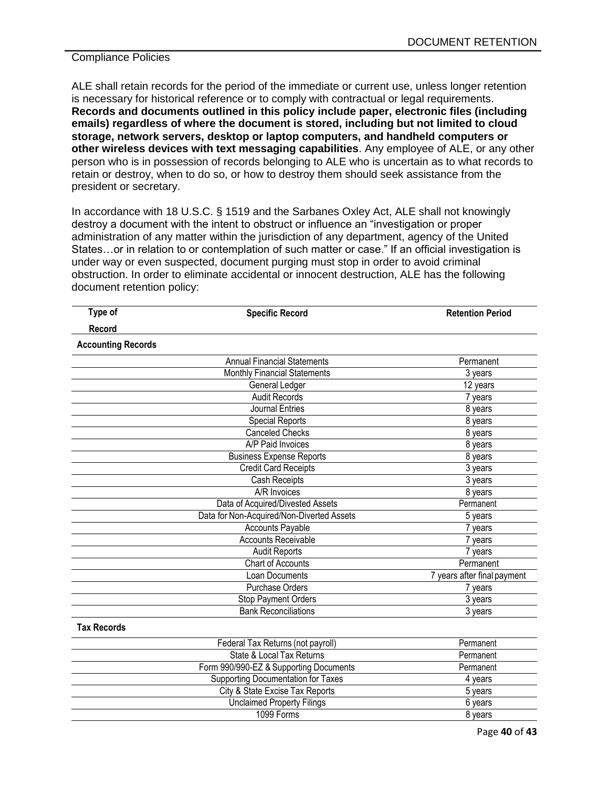ALE shall retain records for the period of the immediate or current use, unless longer retention is necessary for historical reference or to comply with contractual or legal requirements. **Records and documents outlined in this policy include paper, electronic files (including emails) regardless of where the document is stored, including but not limited to cloud storage, network servers, desktop or laptop computers, and handheld computers or other wireless devices with text messaging capabilities**. Any employee of ALE, or any other person who is in possession of records belonging to ALE who is uncertain as to what records to retain or destroy, when to do so, or how to destroy them should seek assistance from the president or secretary.

In accordance with 18 U.S.C. § 1519 and the Sarbanes Oxley Act, ALE shall not knowingly destroy a document with the intent to obstruct or influence an "investigation or proper administration of any matter within the jurisdiction of any department, agency of the United States…or in relation to or contemplation of such matter or case." If an official investigation is under way or even suspected, document purging must stop in order to avoid criminal obstruction. In order to eliminate accidental or innocent destruction, ALE has the following document retention policy:

| Type of                   | <b>Specific Record</b>                    | <b>Retention Period</b>     |
|---------------------------|-------------------------------------------|-----------------------------|
| <b>Record</b>             |                                           |                             |
| <b>Accounting Records</b> |                                           |                             |
|                           | <b>Annual Financial Statements</b>        | Permanent                   |
|                           | <b>Monthly Financial Statements</b>       | 3 years                     |
|                           | General Ledger                            | 12 years                    |
|                           | <b>Audit Records</b>                      | 7 years                     |
|                           | <b>Journal Entries</b>                    | 8 years                     |
|                           | <b>Special Reports</b>                    | 8 years                     |
|                           | <b>Canceled Checks</b>                    | 8 years                     |
|                           | <b>A/P Paid Invoices</b>                  | 8 years                     |
|                           | <b>Business Expense Reports</b>           | 8 years                     |
|                           | <b>Credit Card Receipts</b>               | 3 years                     |
|                           | Cash Receipts                             | 3 years                     |
|                           | A/R Invoices                              | 8 years                     |
|                           | Data of Acquired/Divested Assets          | Permanent                   |
|                           | Data for Non-Acquired/Non-Diverted Assets | 5 years                     |
|                           | <b>Accounts Payable</b>                   | 7 years                     |
|                           | <b>Accounts Receivable</b>                | 7 years                     |
|                           | <b>Audit Reports</b>                      | 7 years                     |
|                           | <b>Chart of Accounts</b>                  | Permanent                   |
|                           | Loan Documents                            | 7 years after final payment |
|                           | Purchase Orders                           | 7 years                     |
|                           | Stop Payment Orders                       | 3 years                     |
|                           | <b>Bank Reconciliations</b>               | 3 years                     |
| <b>Tax Records</b>        |                                           |                             |
|                           | Federal Tax Returns (not payroll)         | Permanent                   |
|                           | State & Local Tax Returns                 | Permanent                   |
|                           | Form 990/990-EZ & Supporting Documents    | Permanent                   |
|                           | Supporting Documentation for Taxes        | 4 years                     |
|                           | City & State Excise Tax Reports           | 5 years                     |
|                           | <b>Unclaimed Property Filings</b>         | 6 years                     |
|                           | 1099 Forms                                | 8 years                     |
|                           |                                           |                             |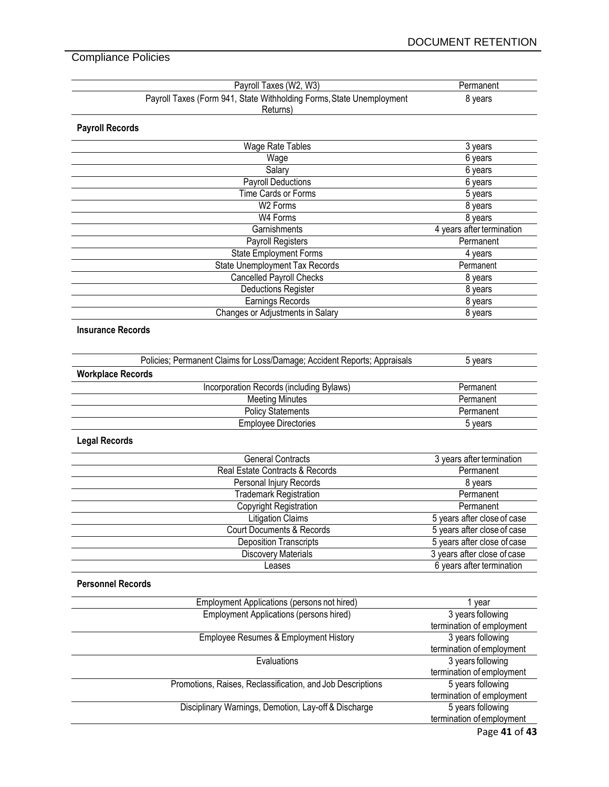| Payroll Taxes (W2, W3)                                                   | Permanent                   |
|--------------------------------------------------------------------------|-----------------------------|
| Payroll Taxes (Form 941, State Withholding Forms, State Unemployment     | 8 years                     |
| Returns)                                                                 |                             |
| <b>Payroll Records</b>                                                   |                             |
| Wage Rate Tables                                                         | 3 years                     |
| Wage                                                                     | 6 years                     |
| Salary                                                                   | 6 years                     |
| Payroll Deductions                                                       | 6 years                     |
| Time Cards or Forms                                                      | 5 years                     |
| W <sub>2</sub> Forms                                                     | 8 years                     |
| W4 Forms                                                                 | 8 years                     |
| Garnishments                                                             | 4 years after termination   |
| Payroll Registers                                                        | Permanent                   |
| <b>State Employment Forms</b>                                            | 4 years                     |
| State Unemployment Tax Records                                           | Permanent                   |
| <b>Cancelled Payroll Checks</b>                                          | 8 years                     |
| <b>Deductions Register</b>                                               | 8 years                     |
| Earnings Records                                                         | 8 years                     |
| Changes or Adjustments in Salary                                         | 8 years                     |
|                                                                          |                             |
| <b>Insurance Records</b>                                                 |                             |
|                                                                          |                             |
| Policies; Permanent Claims for Loss/Damage; Accident Reports; Appraisals | 5 years                     |
|                                                                          |                             |
| <b>Workplace Records</b>                                                 |                             |
| Incorporation Records (including Bylaws)                                 | Permanent                   |
| <b>Meeting Minutes</b>                                                   | Permanent                   |
| <b>Policy Statements</b>                                                 | Permanent                   |
| <b>Employee Directories</b>                                              | 5 years                     |
| <b>Legal Records</b>                                                     |                             |
| <b>General Contracts</b>                                                 | 3 years after termination   |
| Real Estate Contracts & Records                                          | Permanent                   |
| Personal Injury Records                                                  | 8 years                     |
| <b>Trademark Registration</b>                                            | Permanent                   |
| <b>Copyright Registration</b>                                            | Permanent                   |
| <b>Litigation Claims</b>                                                 | 5 years after close of case |
| Court Documents & Records                                                | 5 years after close of case |
| <b>Deposition Transcripts</b>                                            | 5 years after close of case |
| <b>Discovery Materials</b>                                               | 3 years after close of case |
| Leases                                                                   | 6 years after termination   |
|                                                                          |                             |
| <b>Personnel Records</b>                                                 |                             |
| Employment Applications (persons not hired)                              | 1 year                      |
| <b>Employment Applications (persons hired)</b>                           | 3 years following           |
|                                                                          | termination of employment   |
| Employee Resumes & Employment History                                    | 3 years following           |
|                                                                          | termination of employment   |
| Evaluations                                                              | 3 years following           |
|                                                                          | termination of employment   |
| Promotions, Raises, Reclassification, and Job Descriptions               | 5 years following           |
|                                                                          | termination of employment   |
| Disciplinary Warnings, Demotion, Lay-off & Discharge                     | 5 years following           |
|                                                                          | termination of employment   |
|                                                                          | Page 41 of 43               |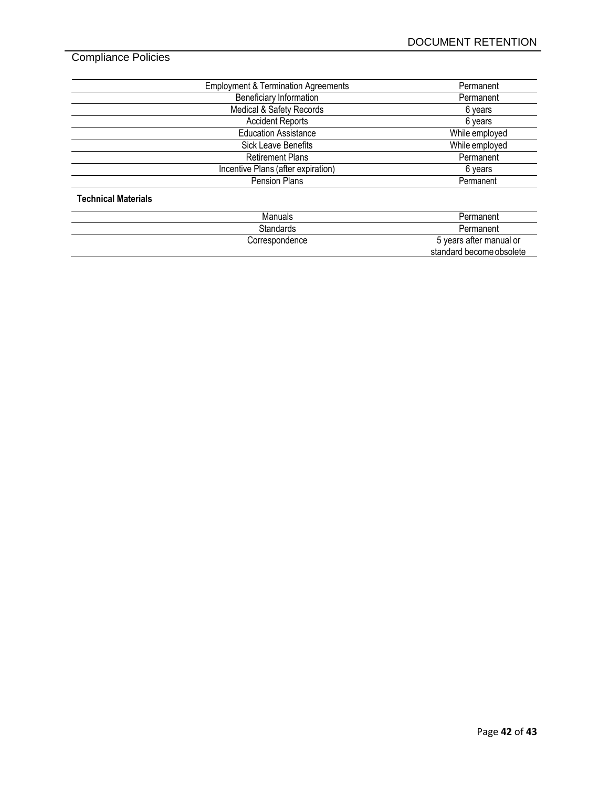| <b>Employment &amp; Termination Agreements</b> | Permanent      |
|------------------------------------------------|----------------|
| <b>Beneficiary Information</b>                 | Permanent      |
| Medical & Safety Records                       | 6 years        |
| <b>Accident Reports</b>                        | 6 years        |
| <b>Education Assistance</b>                    | While employed |
| <b>Sick Leave Benefits</b>                     | While employed |
| <b>Retirement Plans</b>                        | Permanent      |
| Incentive Plans (after expiration)             | 6 years        |
| Pension Plans                                  | Permanent      |

# Manuals Permanent<br>Standards Permanent<br>Permanent **Permanent** Correspondence **6 years** after manual or standard become obsolete